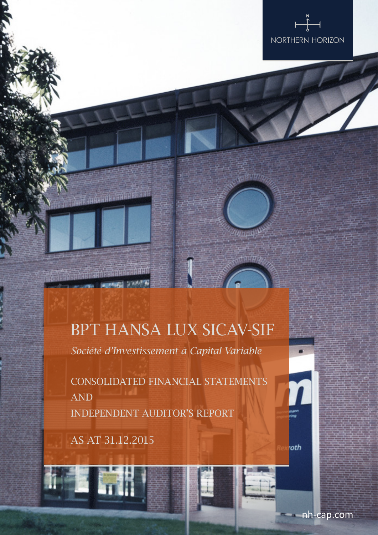

## **Antonio Antonio de Antonio**

## BPT HANSA LUX SICAV-SIF

*Société d'Investissement à Capital Variable*

CONSOLIDATED FINANCIAL STATEMENTS AND INDEPENDENT AUDITOR'S REPORT

As at 31.12.2015

1 富勝

nh-cap.com

roth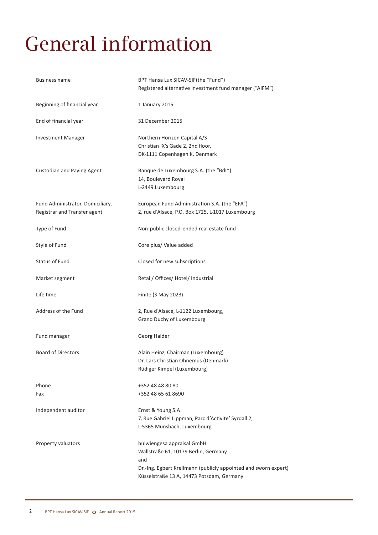# General information

| Business name                                                    | BPT Hansa Lux SICAV-SIF(the "Fund")<br>Registered alternative investment fund manager ("AIFM")                                                                                            |
|------------------------------------------------------------------|-------------------------------------------------------------------------------------------------------------------------------------------------------------------------------------------|
| Beginning of financial year                                      | 1 January 2015                                                                                                                                                                            |
| End of financial year                                            | 31 December 2015                                                                                                                                                                          |
| <b>Investment Manager</b>                                        | Northern Horizon Capital A/S<br>Christian IX's Gade 2, 2nd floor,<br>DK-1111 Copenhagen K, Denmark                                                                                        |
| <b>Custodian and Paying Agent</b>                                | Banque de Luxembourg S.A. (the "BdL")<br>14, Boulevard Royal<br>L-2449 Luxembourg                                                                                                         |
| Fund Administrator, Domiciliary,<br>Registrar and Transfer agent | European Fund Administration S.A. (the "EFA")<br>2, rue d'Alsace, P.O. Box 1725, L-1017 Luxembourg                                                                                        |
| Type of Fund                                                     | Non-public closed-ended real estate fund                                                                                                                                                  |
| Style of Fund                                                    | Core plus/ Value added                                                                                                                                                                    |
| Status of Fund                                                   | Closed for new subscriptions                                                                                                                                                              |
| Market segment                                                   | Retail/ Offices/ Hotel/ Industrial                                                                                                                                                        |
| Life time                                                        | Finite (3 May 2023)                                                                                                                                                                       |
| Address of the Fund                                              | 2, Rue d'Alsace, L-1122 Luxembourg,<br>Grand Duchy of Luxembourg                                                                                                                          |
| Fund manager                                                     | Georg Haider                                                                                                                                                                              |
| <b>Board of Directors</b>                                        | Alain Heinz, Chairman (Luxembourg)<br>Dr. Lars Christian Ohnemus (Denmark)<br>Rüdiger Kimpel (Luxembourg)                                                                                 |
| Phone<br>Fax                                                     | +352 48 48 80 80<br>+352 48 65 61 8690                                                                                                                                                    |
| Independent auditor                                              | Ernst & Young S.A.<br>7, Rue Gabriel Lippman, Parc d'Activite' Syrdall 2,<br>L-5365 Munsbach, Luxembourg                                                                                  |
| Property valuators                                               | bulwiengesa appraisal GmbH<br>Wallstraße 61, 10179 Berlin, Germany<br>and<br>Dr.-Ing. Egbert Krellmann (publicly appointed and sworn expert)<br>Küsselstraße 13 A, 14473 Potsdam, Germany |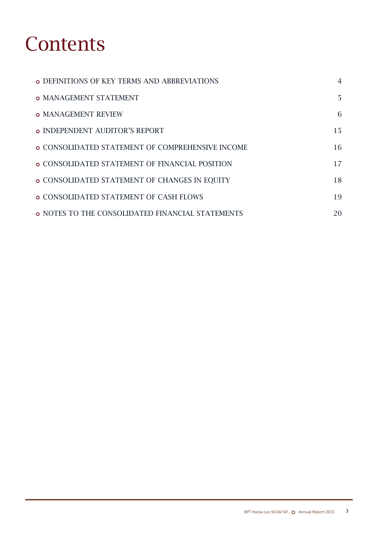## **Contents**

| <b>O DEFINITIONS OF KEY TERMS AND ABBREVIATIONS</b>     | $\overline{4}$ |
|---------------------------------------------------------|----------------|
| <b>O MANAGEMENT STATEMENT</b>                           | 5              |
| <b>O MANAGEMENT REVIEW</b>                              | 6              |
| <b>O INDEPENDENT AUDITOR'S REPORT</b>                   | 15             |
| <b>O CONSOLIDATED STATEMENT OF COMPREHENSIVE INCOME</b> | 16             |
| <b>O CONSOLIDATED STATEMENT OF FINANCIAL POSITION</b>   | 17             |
| <b>O CONSOLIDATED STATEMENT OF CHANGES IN EQUITY</b>    | 18             |
| <b>O CONSOLIDATED STATEMENT OF CASH FLOWS</b>           | 19             |
| <b>O NOTES TO THE CONSOLIDATED FINANCIAL STATEMENTS</b> | 20             |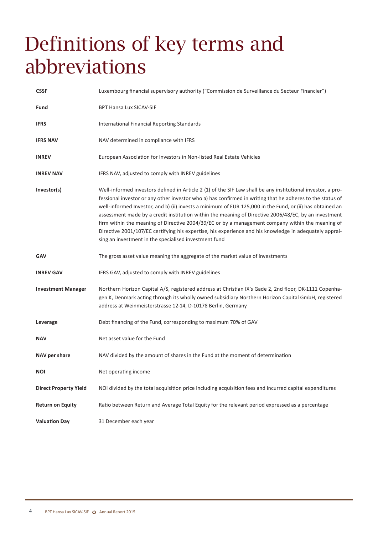## Definitions of key terms and abbreviations

| <b>CSSF</b>                  | Luxembourg financial supervisory authority ("Commission de Surveillance du Secteur Financier")                                                                                                                                                                                                                                                                                                                                                                                                                                                                                                                                                                                                                       |
|------------------------------|----------------------------------------------------------------------------------------------------------------------------------------------------------------------------------------------------------------------------------------------------------------------------------------------------------------------------------------------------------------------------------------------------------------------------------------------------------------------------------------------------------------------------------------------------------------------------------------------------------------------------------------------------------------------------------------------------------------------|
| Fund                         | <b>BPT Hansa Lux SICAV-SIF</b>                                                                                                                                                                                                                                                                                                                                                                                                                                                                                                                                                                                                                                                                                       |
| <b>IFRS</b>                  | International Financial Reporting Standards                                                                                                                                                                                                                                                                                                                                                                                                                                                                                                                                                                                                                                                                          |
| <b>IFRS NAV</b>              | NAV determined in compliance with IFRS                                                                                                                                                                                                                                                                                                                                                                                                                                                                                                                                                                                                                                                                               |
| <b>INREV</b>                 | European Association for Investors in Non-listed Real Estate Vehicles                                                                                                                                                                                                                                                                                                                                                                                                                                                                                                                                                                                                                                                |
| <b>INREV NAV</b>             | IFRS NAV, adjusted to comply with INREV guidelines                                                                                                                                                                                                                                                                                                                                                                                                                                                                                                                                                                                                                                                                   |
| Investor(s)                  | Well-informed investors defined in Article 2 (1) of the SIF Law shall be any institutional investor, a pro-<br>fessional investor or any other investor who a) has confirmed in writing that he adheres to the status of<br>well-informed Investor, and b) (ii) invests a minimum of EUR 125,000 in the Fund, or (ii) has obtained an<br>assessment made by a credit institution within the meaning of Directive 2006/48/EC, by an investment<br>firm within the meaning of Directive 2004/39/EC or by a management company within the meaning of<br>Directive 2001/107/EC certifying his expertise, his experience and his knowledge in adequately apprai-<br>sing an investment in the specialised investment fund |
| <b>GAV</b>                   | The gross asset value meaning the aggregate of the market value of investments                                                                                                                                                                                                                                                                                                                                                                                                                                                                                                                                                                                                                                       |
| <b>INREV GAV</b>             | IFRS GAV, adjusted to comply with INREV guidelines                                                                                                                                                                                                                                                                                                                                                                                                                                                                                                                                                                                                                                                                   |
| <b>Investment Manager</b>    | Northern Horizon Capital A/S, registered address at Christian IX's Gade 2, 2nd floor, DK-1111 Copenha-<br>gen K, Denmark acting through its wholly owned subsidiary Northern Horizon Capital GmbH, registered<br>address at Weinmeisterstrasse 12-14, D-10178 Berlin, Germany                                                                                                                                                                                                                                                                                                                                                                                                                                        |
| Leverage                     | Debt financing of the Fund, corresponding to maximum 70% of GAV                                                                                                                                                                                                                                                                                                                                                                                                                                                                                                                                                                                                                                                      |
| <b>NAV</b>                   | Net asset value for the Fund                                                                                                                                                                                                                                                                                                                                                                                                                                                                                                                                                                                                                                                                                         |
| NAV per share                | NAV divided by the amount of shares in the Fund at the moment of determination                                                                                                                                                                                                                                                                                                                                                                                                                                                                                                                                                                                                                                       |
| <b>NOI</b>                   | Net operating income                                                                                                                                                                                                                                                                                                                                                                                                                                                                                                                                                                                                                                                                                                 |
| <b>Direct Property Yield</b> | NOI divided by the total acquisition price including acquisition fees and incurred capital expenditures                                                                                                                                                                                                                                                                                                                                                                                                                                                                                                                                                                                                              |
| <b>Return on Equity</b>      | Ratio between Return and Average Total Equity for the relevant period expressed as a percentage                                                                                                                                                                                                                                                                                                                                                                                                                                                                                                                                                                                                                      |
| <b>Valuation Day</b>         | 31 December each year                                                                                                                                                                                                                                                                                                                                                                                                                                                                                                                                                                                                                                                                                                |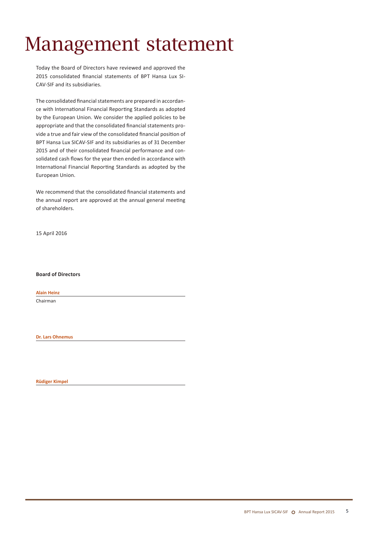## Management statement

Today the Board of Directors have reviewed and approved the 2015 consolidated financial statements of BPT Hansa Lux SI-CAV-SIF and its subsidiaries.

The consolidated financial statements are prepared in accordance with International Financial Reporting Standards as adopted by the European Union. We consider the applied policies to be appropriate and that the consolidated financial statements provide a true and fair view of the consolidated financial position of BPT Hansa Lux SICAV-SIF and its subsidiaries as of 31 December 2015 and of their consolidated financial performance and consolidated cash flows for the year then ended in accordance with International Financial Reporting Standards as adopted by the European Union.

We recommend that the consolidated financial statements and the annual report are approved at the annual general meeting of shareholders.

15 April 2016

**Board of Directors**

**Alain Heinz** 

Chairman

**Dr. Lars Ohnemus**

**Rüdiger Kimpel**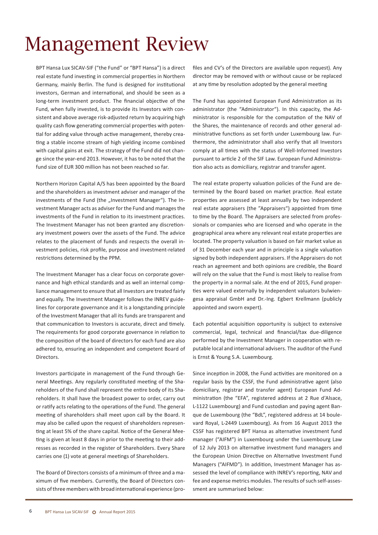## Management Review

BPT Hansa Lux SICAV-SIF ("the Fund" or "BPT Hansa") is a direct real estate fund investing in commercial properties in Northern Germany, mainly Berlin. The fund is designed for institutional investors, German and international, and should be seen as a long-term investment product. The financial objective of the Fund, when fully invested, is to provide its Investors with consistent and above average risk-adjusted return by acquiring high quality cash flow generating commercial properties with potential for adding value through active management, thereby creating a stable income stream of high yielding income combined with capital gains at exit. The strategy of the Fund did not change since the year-end 2013. However, it has to be noted that the fund size of EUR 300 million has not been reached so far.

Northern Horizon Capital A/S has been appointed by the Board and the shareholders as investment adviser and manager of the investments of the Fund (the "Investment Manager"). The Investment Manager acts as adviser for the Fund and managesthe investments of the Fund in relation to its investment practices. The Investment Manager has not been granted any discretionary investment powers over the assets of the Fund. The advice relates to the placement of funds and respects the overall investment policies, risk profile, purpose and investment-related restrictions determined by the PPM.

The Investment Manager has a clear focus on corporate governance and high ethical standards and as well an internal compliance management to ensure that all Investors are treated fairly and equally. The Investment Manager follows the INREV guidelines for corporate governance and it is a longstanding principle of the Investment Manager that all its funds are transparent and that communication to Investors is accurate, direct and timely. The requirements for good corporate governance in relation to the composition of the board of directors for each fund are also adhered to, ensuring an independent and competent Board of Directors.

Investors participate in management of the Fund through General Meetings. Any regularly constituted meeting of the Shareholders of the Fund shall represent the entire body of its Shareholders. It shall have the broadest power to order, carry out or ratify acts relating to the operations of the Fund. The general meeting of shareholders shall meet upon call by the Board. It may also be called upon the request of shareholders representing at least 5% of the share capital. Notice of the General Meeting is given at least 8 days in prior to the meeting to their addresses as recorded in the register of Shareholders. Every Share carries one (1) vote at general meetings of Shareholders.

The Board of Directors consists of a minimum of three and a maximum of five members. Currently, the Board of Directors consists of three members with broad international experience (pro-

files and CV's of the Directors are available upon request). Any director may be removed with or without cause or be replaced at any time by resolution adopted by the general meeting

The Fund has appointed European Fund Administration as its administrator (the "Administrator"). In this capacity, the Administrator is responsible for the computation of the NAV of the Shares, the maintenance of records and other general administrative functions as set forth under Luxembourg law. Furthermore, the administrator shall also verify that all Investors comply at all times with the status of Well-Informed Investors pursuant to article 2 of the SIF Law. European Fund Administration also acts as domiciliary, registrar and transfer agent.

The real estate property valuation policies of the Fund are determined by the Board based on market practice. Real estate properties are assessed at least annually by two independent real estate appraisers (the "Appraisers") appointed from time to time by the Board. The Appraisers are selected from professionals or companies who are licensed and who operate in the geographical area where any relevant real estate properties are located. The property valuation is based on fair market value as of 31 December each year and in principle is a single valuation signed by both independent appraisers. If the Appraisers do not reach an agreement and both opinions are credible, the Board will rely on the value that the Fund is most likely to realise from the property in a normal sale. At the end of 2015, Fund properties were valued externally by independent valuators bulwiengesa appraisal GmbH and Dr.-Ing. Egbert Krellmann (publicly appointed and sworn expert).

Each potential acquisition opportunity is subject to extensive commercial, legal, technical and financial/tax due-diligence performed by the Investment Manager in cooperation with reputable local and international advisers. The auditor of the Fund is Ernst & Young S.A. Luxembourg.

Since inception in 2008, the Fund activities are monitored on a regular basis by the CSSF, the Fund administrative agent (also domiciliary, registrar and transfer agent) European Fund Administration (the "EFA", registered address at 2 Rue d'Alsace, L-1122 Luxembourg) and Fund custodian and paying agent Banque de Luxembourg (the "BdL", registered address at 14 boulevard Royal, L-2449 Luxembourg). As from 16 August 2013 the CSSF has registered BPT Hansa as alternative investment fund manager ("AIFM") in Luxembourg under the Luxembourg Law of 12 July 2013 on alternative investment fund managers and the European Union Directive on Alternative Investment Fund Managers ("AIFMD"). In addition, Investment Manager has assessed the level of compliance with INREV's reporting, NAV and fee and expense metrics modules. The results of such self-assessment are summarised below: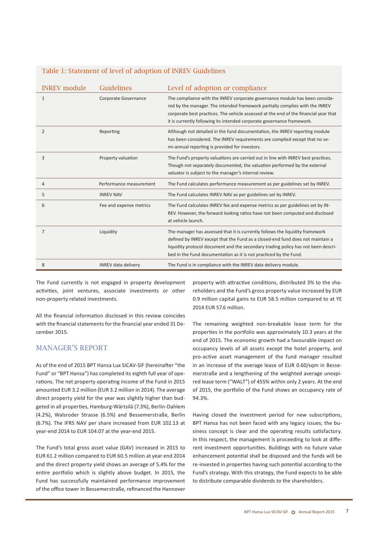| <b>INREV</b> module | <b>Guidelines</b>          | Level of adoption or compliance                                                                                                                                                                                                                                                                                               |
|---------------------|----------------------------|-------------------------------------------------------------------------------------------------------------------------------------------------------------------------------------------------------------------------------------------------------------------------------------------------------------------------------|
| $\mathbf{1}$        | Corporate Governance       | The compliance with the INREV corporate governance module has been conside-<br>red by the manager. The intended framework partially complies with the INREV<br>corporate best practices. The vehicle assessed at the end of the financial year that<br>it is currently following its intended corporate governance framework. |
| $\overline{2}$      | Reporting                  | Although not detailed in the fund documentation, the INREV reporting module<br>has been considered. The INREV requirements are complied except that no se-<br>mi-annual reporting is provided for investors.                                                                                                                  |
| 3                   | Property valuation         | The Fund's property valuations are carried out in line with INREV best practices.<br>Though not separately documented, the valuation performed by the external<br>valuator is subject to the manager's internal review.                                                                                                       |
| $\overline{4}$      | Performance measurement    | The Fund calculates performance measurement as per guidelines set by INREV.                                                                                                                                                                                                                                                   |
| 5                   | <b>INREV NAV</b>           | The Fund calculates INREV NAV as per guidelines set by INREV.                                                                                                                                                                                                                                                                 |
| 6                   | Fee and expense metrics    | The Fund calculates INREV fee and expense metrics as per guidelines set by IN-<br>REV. However, the forward looking ratios have not been computed and disclosed<br>at vehicle launch.                                                                                                                                         |
| $\overline{7}$      | Liquidity                  | The manager has assessed that it is currently follows the liquidity framework<br>defined by INREV except that the Fund as a closed-end fund does not maintain a<br>liquidity protocol document and the secondary trading policy has not been descri-<br>bed in the Fund documentation as it is not practiced by the Fund.     |
| 8                   | <b>INREV</b> data delivery | The Fund is in compliance with the INREV data delivery module.                                                                                                                                                                                                                                                                |

### Table 1: Statement of level of adoption of INREV Guidelines

The Fund currently is not engaged in property development activities, joint ventures, associate investments or other non-property related investments.

All the financial information disclosed in this review coincides with the financial statements for the financial year ended 31 December 2015.

## MANAGER'S REPORT

As of the end of 2015 BPT Hansa Lux SICAV-SIF (hereinafter "the Fund" or "BPT Hansa") has completed its eighth full year of operations. The net property operating income of the Fund in 2015 amounted EUR 3.2 million (EUR 3.2 million in 2014). The average direct property yield for the year was slightly higher than budgeted in all properties, Hamburg-Wärtsilä (7.3%), Berlin-Dahlem (4.2%), Walsroder Strasse (6.5%) and Bessemerstraße, Berlin (6.7%). The IFRS NAV per share increased from EUR 102.13 at year-end 2014 to EUR 104.07 at the year-end 2015.

The Fund's total gross asset value (GAV) increased in 2015 to EUR 61.2 million compared to EUR 60.5 million at year end 2014 and the direct property yield shows an average of 5.4% for the entire portfolio which is slightly above budget. In 2015, the Fund has successfully maintained performance improvement of the office tower in Bessemerstraße, refinanced the Hannover

property with attractive conditions, distributed 3% to the shareholders and the Fund's gross property value increased by EUR 0.9 million capital gains to EUR 58.5 million compared to at YE 2014 EUR 57.6 million.

The remaining weighted non-breakable lease term for the properties in the portfolio was approximately 10.3 years at the end of 2015. The economic growth had a favourable impact on occupancy levels of all assets except the hotel property, and pro-active asset management of the fund manager resulted in an increase of the average lease of EUR 0.60/sqm in Bessemerstraße and a lengthening of the weighted average unexpired lease term ("WALT") of 455% within only 2 years. At the end of 2015, the portfolio of the Fund shows an occupancy rate of 94.3%.

Having closed the investment period for new subscriptions, BPT Hansa has not been faced with any legacy issues; the business concept is clear and the operating results satisfactory. In this respect, the management is proceeding to look at different investment opportunities. Buildings with no future value enhancement potential shall be disposed and the funds will be re-invested in properties having such potential according to the Fund's strategy. With this strategy, the Fund expects to be able to distribute comparable dividends to the shareholders.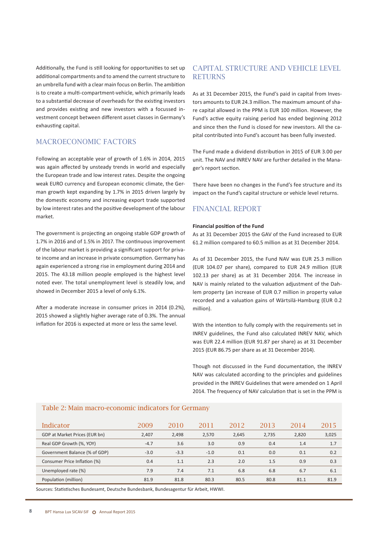Additionally, the Fund is still looking for opportunities to set up additional compartments and to amend the current structure to an umbrella fund with a clear main focus on Berlin. The ambition is to create a multi-compartment-vehicle, which primarily leads to a substantial decrease of overheads for the existing investors and provides existing and new investors with a focussed investment concept between different asset classes in Germany's exhausting capital.

### MACROECONOMIC FACTORS

Following an acceptable year of growth of 1.6% in 2014, 2015 was again affected by unsteady trends in world and especially the European trade and low interest rates. Despite the ongoing weak EURO currency and European economic climate, the German growth kept expanding by 1.7% in 2015 driven largely by the domestic economy and increasing export trade supported by low interest rates and the positive development of the labour market.

The government is projecting an ongoing stable GDP growth of 1.7% in 2016 and of 1.5% in 2017. The continuous improvement of the labour market is providing a significant support for private income and an increase in private consumption. Germany has again experienced a strong rise in employment during 2014 and 2015. The 43.18 million people employed is the highest level noted ever. The total unemployment level is steadily low, and showed in December 2015 a level of only 6.1%.

After a moderate increase in consumer prices in 2014 (0.2%), 2015 showed a slightly higher average rate of 0.3%. The annual inflation for 2016 is expected at more or less the same level.

## CAPITAL STRUCTURE AND VEHICLE LEVEL **RETURNS**

As at 31 December 2015, the Fund's paid in capital from Investors amounts to EUR 24.3 million. The maximum amount of share capital allowed in the PPM is EUR 100 million. However, the Fund's active equity raising period has ended beginning 2012 and since then the Fund is closed for new investors. All the capital contributed into Fund's account has been fully invested.

The Fund made a dividend distribution in 2015 of EUR 3.00 per unit. The NAV and INREV NAV are further detailed in the Manager's report section.

There have been no changes in the Fund's fee structure and its impact on the Fund's capital structure or vehicle level returns.

## FINANCIAL REPORT

#### **Financial position of the Fund**

As at 31 December 2015 the GAV of the Fund increased to EUR 61.2 million compared to 60.5 million as at 31 December 2014.

As of 31 December 2015, the Fund NAV was EUR 25.3 million (EUR 104.07 per share), compared to EUR 24.9 million (EUR 102.13 per share) as at 31 December 2014. The increase in NAV is mainly related to the valuation adjustment of the Dahlem property (an increase of EUR 0.7 million in property value recorded and a valuation gains of Wärtsilä-Hamburg (EUR 0.2 million).

With the intention to fully comply with the requirements set in INREV guidelines, the Fund also calculated INREV NAV, which was EUR 22.4 million (EUR 91.87 per share) as at 31 December 2015 (EUR 86.75 per share as at 31 December 2014).

Though not discussed in the Fund documentation, the INREV NAV was calculated according to the principles and guidelines provided in the INREV Guidelines that were amended on 1 April 2014. The frequency of NAV calculation that is set in the PPM is

#### Table 2: Main macro-economic indicators for Germany

| Indicator                     | 2009   | 2010   | 2011   | 2012  | 2013  | 2014  | 2015  |
|-------------------------------|--------|--------|--------|-------|-------|-------|-------|
| GDP at Market Prices (EUR bn) | 2,407  | 2,498  | 2,570  | 2,645 | 2,735 | 2,820 | 3,025 |
| Real GDP Growth (%, YOY)      | $-4.7$ | 3.6    | 3.0    | 0.9   | 0.4   | 1.4   | 1.7   |
| Government Balance (% of GDP) | $-3.0$ | $-3.3$ | $-1.0$ | 0.1   | 0.0   | 0.1   | 0.2   |
| Consumer Price Inflation (%)  | 0.4    | 1.1    | 2.3    | 2.0   | 1.5   | 0.9   | 0.3   |
| Unemployed rate (%)           | 7.9    | 7.4    | 7.1    | 6.8   | 6.8   | 6.7   | 6.1   |
| Population (million)          | 81.9   | 81.8   | 80.3   | 80.5  | 80.8  | 81.1  | 81.9  |

Sources: Statistisches Bundesamt, Deutsche Bundesbank, Bundesagentur für Arbeit, HWWI.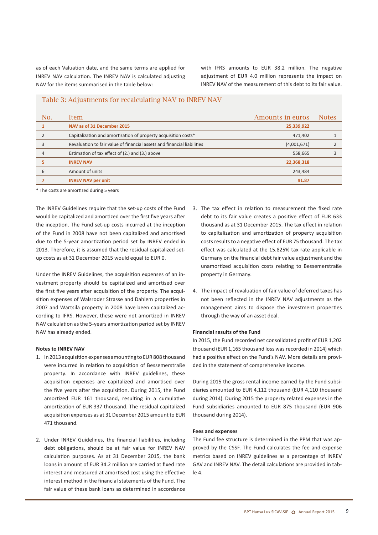as of each Valuation date, and the same terms are applied for INREV NAV calculation. The INREV NAV is calculated adjusting NAV for the items summarised in the table below:

with IFRS amounts to EUR 38.2 million. The negative adjustment of EUR 4.0 million represents the impact on INREV NAV of the measurement of this debt to its fair value.

#### Table 3: Adjustments for recalculating NAV to INREV NAV

| No. | Item                                                                    | Amounts in euros | <b>Notes</b> |
|-----|-------------------------------------------------------------------------|------------------|--------------|
|     | NAV as of 31 December 2015                                              | 25,339,922       |              |
|     | Capitalization and amortization of property acquisition costs*          | 471,402          |              |
|     | Revaluation to fair value of financial assets and financial liabilities | (4,001,671)      |              |
| 4   | Estimation of tax effect of (2.) and (3.) above                         | 558,665          |              |
|     | <b>INREV NAV</b>                                                        | 22,368,318       |              |
|     | Amount of units                                                         | 243,484          |              |
|     | <b>INREV NAV per unit</b>                                               | 91.87            |              |

\* The costs are amortized during 5 years

The INREV Guidelines require that the set-up costs of the Fund would be capitalized and amortized over the first five years after the inception. The Fund set-up costs incurred at the inception of the Fund in 2008 have not been capitalized and amortised due to the 5-year amortization period set by INREV ended in 2013. Therefore, it is assumed that the residual capitalized setup costs as at 31 December 2015 would equal to EUR 0.

Under the INREV Guidelines, the acquisition expenses of an investment property should be capitalized and amortised over the first five years after acquisition of the property. The acquisition expenses of Walsroder Strasse and Dahlem properties in 2007 and Wärtsilä property in 2008 have been capitalized according to IFRS. However, these were not amortized in INREV NAV calculation as the 5-years amortization period set by INREV NAV has already ended.

#### **Notes to INREV NAV**

- 1. In 2013 acquisition expenses amounting to EUR 808 thousand were incurred in relation to acquisition of Bessemerstraße property. In accordance with INREV guidelines, these acquisition expenses are capitalized and amortised over the five years after the acquisition. During 2015, the Fund amortized EUR 161 thousand, resulting in a cumulative amortization of EUR 337 thousand. The residual capitalized acquisition expenses as at 31 December 2015 amount to EUR 471 thousand.
- 2. Under INREV Guidelines, the financial liabilities, including debt obligations, should be at fair value for INREV NAV calculation purposes. As at 31 December 2015, the bank loans in amount of EUR 34.2 million are carried at fixed rate interest and measured at amortised cost using the effective interest method in the financial statements of the Fund. The fair value of these bank loans as determined in accordance
- 3. The tax effect in relation to measurement the fixed rate debt to its fair value creates a positive effect of EUR 633 thousand as at 31 December 2015. The tax effect in relation to capitalization and amortization of property acquisition costs results to a negative effect of EUR 75 thousand. The tax effect was calculated at the 15.825% tax rate applicable in Germany on the financial debt fair value adjustment and the unamortized acquisition costs relating to Bessemerstraße property in Germany.
- 4. The impact of revaluation of fair value of deferred taxes has not been reflected in the INREV NAV adjustments as the management aims to dispose the investment properties through the way of an asset deal.

#### **Financial results of the Fund**

In 2015, the Fund recorded net consolidated profit of EUR 1,202 thousand (EUR 1,165 thousand loss was recorded in 2014) which had a positive effect on the Fund's NAV. More details are provided in the statement of comprehensive income.

During 2015 the gross rental income earned by the Fund subsidiaries amounted to EUR 4,112 thousand (EUR 4,110 thousand during 2014). During 2015 the property related expenses in the Fund subsidiaries amounted to EUR 875 thousand (EUR 906 thousand during 2014).

#### **Fees and expenses**

The Fund fee structure is determined in the PPM that was approved by the CSSF. The Fund calculates the fee and expense metrics based on INREV guidelines as a percentage of INREV GAV and INREV NAV. The detail calculations are provided in table 4.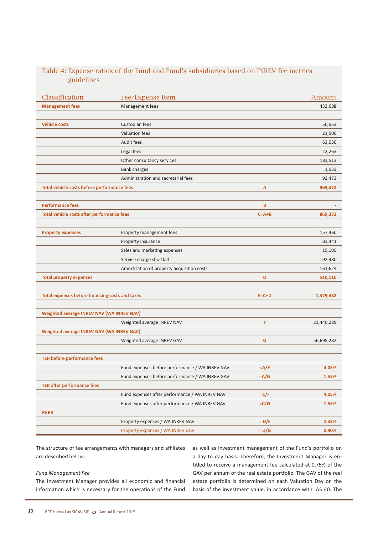### Table 4: Expense ratios of the Fund and Fund's subsidiaries based on INREV fee metrics guidelines

| Classification                                  | Fee/Expense Item                                |             | Amount     |
|-------------------------------------------------|-------------------------------------------------|-------------|------------|
| <b>Management fees</b>                          | Management fees                                 |             | 433,688    |
|                                                 |                                                 |             |            |
| <b>Vehicle costs</b>                            | Custodian fees                                  |             | 50,953     |
|                                                 | Valuation fees                                  |             | 21,500     |
|                                                 | Audit fees                                      |             | 63,050     |
|                                                 | Legal fees                                      |             | 22,263     |
|                                                 | Other consultancy services                      |             | 183,512    |
|                                                 | <b>Bank charges</b>                             |             | 1,933      |
|                                                 | Administration and secretarial fees             |             | 92,473     |
| Total vehicle costs before performance fees     |                                                 | A           | 869,372    |
|                                                 |                                                 |             |            |
| <b>Performance fees</b>                         |                                                 | B           |            |
| Total vehicle costs after performance fees      |                                                 | $C = A + B$ | 869,372    |
|                                                 |                                                 |             |            |
| <b>Property expenses</b>                        | Property management fees                        |             | 157,460    |
|                                                 | Property insurance                              |             | 83,441     |
|                                                 | Sales and marketing expenses                    |             | 15,105     |
|                                                 | Service charge shortfall                        |             | 92,480     |
|                                                 | Amortisation of property acquisition costs      |             | 161,624    |
| <b>Total property expenses</b>                  |                                                 | D           | 510,110    |
|                                                 |                                                 |             |            |
| Total expenses before financing costs and taxes |                                                 | $E = C + D$ | 1,379,482  |
|                                                 |                                                 |             |            |
| Weighted average INREV NAV (WA INREV NAV)       |                                                 |             |            |
|                                                 | Weighted average INREV NAV                      | F           | 21,440,289 |
| Weighted average INREV GAV (WA INREV GAV)       |                                                 |             |            |
|                                                 | Weighted average INREV GAV                      | G           | 56,698,282 |
|                                                 |                                                 |             |            |
| <b>TER before performance fees</b>              |                                                 |             |            |
|                                                 | Fund expenses before performance / WA INREV NAV | $=A/F$      | 4.05%      |
|                                                 | Fund expenses before performance / WA INREV GAV | =A/G        | 1.53%      |
| <b>TER after performance fees</b>               |                                                 |             |            |
|                                                 | Fund expenses after performance / WA INREV NAV  | $=C/F$      | 4.05%      |
|                                                 | Fund expenses after performance / WA INREV GAV  | $=C/G$      | 1.53%      |
| <b>REER</b>                                     |                                                 |             |            |
|                                                 | Property expenses / WA INREV NAV                | $= D/F$     | 2.32%      |
|                                                 | Property expenses / WA INREV GAV                | $= D/G$     | 0.90%      |

The structure of fee arrangements with managers and affiliates are described below:

#### *Fund Management Fee*

The Investment Manager provides all economic and financial information which is necessary for the operations of the Fund as well as investment management of the Fund's portfolio on a day to day basis. Therefore, the Investment Manager is entitled to receive a management fee calculated at 0.75% of the GAV per annum of the real estate portfolio. The GAV of the real estate portfolio is determined on each Valuation Day on the basis of the investment value, in accordance with IAS 40. The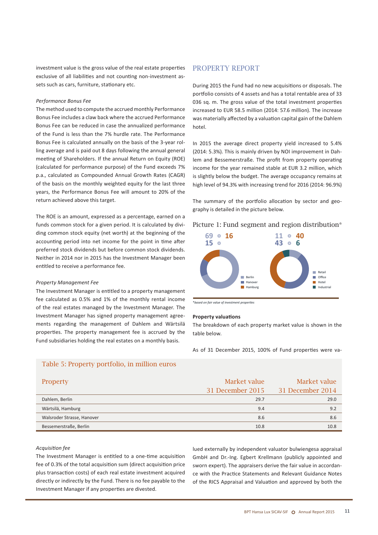investment value is the gross value of the real estate properties exclusive of all liabilities and not counting non-investment assets such as cars, furniture, stationary etc.

#### *Performance Bonus Fee*

The method used to compute the accrued monthly Performance Bonus Fee includes a claw back where the accrued Performance Bonus Fee can be reduced in case the annualized performance of the Fund is less than the 7% hurdle rate. The Performance Bonus Fee is calculated annually on the basis of the 3-year rolling average and is paid out 8 days following the annual general meeting of Shareholders. If the annual Return on Equity (ROE) (calculated for performance purpose) of the Fund exceeds 7% p.a., calculated as Compounded Annual Growth Rates (CAGR) of the basis on the monthly weighted equity for the last three years, the Performance Bonus Fee will amount to 20% of the return achieved above this target.

The ROE is an amount, expressed as a percentage, earned on a funds common stock for a given period. It is calculated by dividing common stock equity (net worth) at the beginning of the accounting period into net income for the point in time after preferred stock dividends but before common stock dividends. Neither in 2014 nor in 2015 has the Investment Manager been entitled to receive a performance fee.

#### *Property Management Fee*

The Investment Manager is entitled to a property management fee calculated as 0.5% and 1% of the monthly rental income of the real estates managed by the Investment Manager. The Investment Manager has signed property management agreements regarding the management of Dahlem and Wärtsilä properties. The property management fee is accrued by the Fund subsidiaries holding the real estates on a monthly basis.

### PROPERTY REPORT

During 2015 the Fund had no new acquisitions or disposals. The portfolio consists of 4 assets and has a total rentable area of 33 036 sq. m. The gross value of the total investment properties increased to EUR 58.5 million (2014: 57.6 million). The increase was materially affected by a valuation capital gain of the Dahlem hotel.

In 2015 the average direct property yield increased to 5.4% (2014: 5.3%). This is mainly driven by NOI improvement in Dahlem and Bessemerstraße. The profit from property operating income for the year remained stable at EUR 3.2 million, which is slightly below the budget. The average occupancy remains at high level of 94.3% with increasing trend for 2016 (2014: 96.9%)

The summary of the portfolio allocation by sector and geography is detailed in the picture below.

#### Picture 1: Fund segment and region distribution\*



\**based on fair value of investment properties*

#### **Property valuations**

The breakdown of each property market value is shown in the table below.

As of 31 December 2015, 100% of Fund properties were va-

### Table 5: Property portfolio, in million euros

| <b>Property</b>            | Market value     | Market value     |
|----------------------------|------------------|------------------|
|                            | 31 December 2015 | 31 December 2014 |
| Dahlem, Berlin             | 29.7             | 29.0             |
| Wärtsilä, Hamburg          | 9.4              | 9.2              |
| Walsroder Strasse, Hanover | 8.6              | 8.6              |
| Bessemerstraße, Berlin     | 10.8             | 10.8             |

#### *Acquisition fee*

The Investment Manager is entitled to a one-time acquisition fee of 0.3% of the total acquisition sum (direct acquisition price plus transaction costs) of each real estate investment acquired directly or indirectly by the Fund. There is no fee payable to the Investment Manager if any properties are divested.

lued externally by independent valuator bulwiengesa appraisal GmbH and Dr.-Ing. Egbert Krellmann (publicly appointed and sworn expert). The appraisers derive the fair value in accordance with the Practice Statements and Relevant Guidance Notes of the RICS Appraisal and Valuation and approved by both the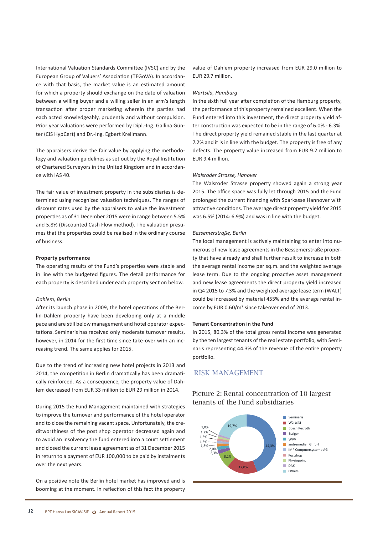International Valuation Standards Committee (IVSC) and by the European Group of Valuers' Association (TEGoVA). In accordance with that basis, the market value is an estimated amount for which a property should exchange on the date of valuation between a willing buyer and a willing seller in an arm's length transaction after proper marketing wherein the parties had each acted knowledgeably, prudently and without compulsion. Prior year valuations were performed by Dipl.-Ing. Gallina Günter (CIS HypCert) and Dr.-Ing. Egbert Krellmann.

The appraisers derive the fair value by applying the methodology and valuation guidelines as set out by the Royal Institution of Chartered Surveyors in the United Kingdom and in accordance with IAS 40.

The fair value of investment property in the subsidiaries is determined using recognized valuation techniques. The ranges of discount rates used by the appraisers to value the investment properties as of 31 December 2015 were in range between 5.5% and 5.8% (Discounted Cash Flow method). The valuation presumes that the properties could be realised in the ordinary course of business.

#### **Property performance**

The operating results of the Fund's properties were stable and in line with the budgeted figures. The detail performance for each property is described under each property section below.

#### *Dahlem, Berlin*

After its launch phase in 2009, the hotel operations of the Berlin-Dahlem property have been developing only at a middle pace and are still below management and hotel operator expectations. Seminaris has received only moderate turnover results, however, in 2014 for the first time since take-over with an increasing trend. The same applies for 2015.

Due to the trend of increasing new hotel projects in 2013 and 2014, the competition in Berlin dramatically has been dramatically reinforced. As a consequence, the property value of Dahlem decreased from EUR 33 million to EUR 29 million in 2014.

During 2015 the Fund Management maintained with strategies to improve the turnover and performance of the hotel operator and to close the remaining vacant space. Unfortunately, the creditworthiness of the post shop operator decreased again and to avoid an insolvency the fund entered into a court settlement and closed the current lease agreement as of 31 December 2015 in return to a payment of EUR 100,000 to be paid by instalments over the next years.

On a positive note the Berlin hotel market has improved and is booming at the moment. In reflection of this fact the property value of Dahlem property increased from EUR 29.0 million to EUR 29.7 million.

#### *Wärtsilä, Hamburg*

In the sixth full year after completion of the Hamburg property, the performance of this property remained excellent. When the Fund entered into this investment, the direct property yield after construction was expected to be in the range of 6.0% - 6.3%. The direct property yield remained stable in the last quarter at 7.2% and it is in line with the budget. The property is free of any defects. The property value increased from EUR 9.2 million to EUR 9.4 million.

#### *Walsroder Strasse, Hanover*

The Walsroder Strasse property showed again a strong year 2015. The office space was fully let through 2015 and the Fund prolonged the current financing with Sparkasse Hannover with attractive conditions. The average direct property yield for 2015 was 6.5% (2014: 6.9%) and was in line with the budget.

#### *Bessemerstraße, Berlin*

The local management is actively maintaining to enter into numerous of new lease agreementsin the Bessemerstraße property that have already and shall further result to increase in both the average rental income per sq.m. and the weighted average lease term. Due to the ongoing proactive asset management and new lease agreements the direct property yield increased in Q4 2015 to 7.3% and the weighted average lease term (WALT) could be increased by material 455% and the average rental income by EUR 0.60/m² since takeover end of 2013.

#### **Tenant Concentration in the Fund**

In 2015, 80.3% of the total gross rental income was generated by the ten largest tenants of the real estate portfolio, with Seminaris representing 44.3% of the revenue of the entire property portfolio.

## RISK MANAGEMENT

Picture 2: Rental concentration of 10 largest tenants of the Fund subsidiaries

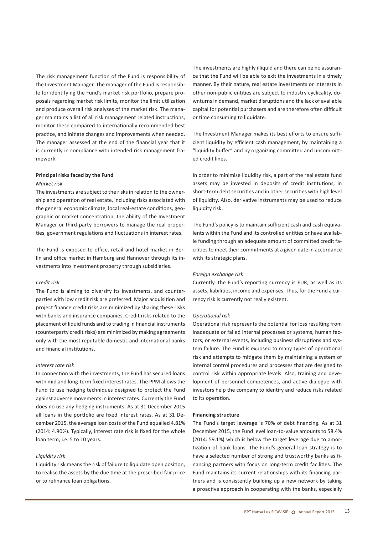The risk management function of the Fund is responsibility of the Investment Manager. The manager of the Fund is responsible for identifying the Fund's market risk portfolio, prepare proposals regarding market risk limits, monitor the limit utilization and produce overall risk analyses of the market risk. The manager maintains a list of all risk management related instructions, monitor these compared to internationally recommended best practice, and initiate changes and improvements when needed. The manager assessed at the end of the financial year that it is currently in compliance with intended risk management framework.

#### **Principal risks faced by the Fund**

#### *Market risk*

The investments are subject to the risks in relation to the ownership and operation of real estate, including risks associated with the general economic climate, local real-estate conditions, geographic or market concentration, the ability of the Investment Manager or third-party borrowers to manage the real properties, government regulations and fluctuations in interest rates.

The Fund is exposed to office, retail and hotel market in Berlin and office market in Hamburg and Hannover through its investments into investment property through subsidiaries.

#### *Credit risk*

The Fund is aiming to diversify its investments, and counterparties with low credit risk are preferred. Major acquisition and project finance credit risks are minimized by sharing these risks with banks and insurance companies. Credit risks related to the placement of liquid funds and to trading in financial instruments (counterparty credit risks) are minimized by making agreements only with the most reputable domestic and international banks and financial institutions.

#### *Interest rate risk*

In connection with the investments, the Fund has secured loans with mid and long-term fixed interest rates. The PPM allows the Fund to use hedging techniques designed to protect the Fund against adverse movements in interest rates. Currently the Fund does no use any hedging instruments. As at 31 December 2015 all loans in the portfolio are fixed interest rates. As at 31 December 2015, the average loan costs of the Fund equalled 4.81% (2014: 4.90%). Typically, interest rate risk is fixed for the whole loan term, i.e. 5 to 10 years.

#### *Liquidity risk*

Liquidity risk meansthe risk of failure to liquidate open position, to realise the assets by the due time at the prescribed fair price or to refinance loan obligations.

The investments are highly illiquid and there can be no assurance that the Fund will be able to exit the investments in a timely manner. By their nature, real estate investments or interests in other non-public entities are subject to industry cyclicality, downturns in demand, market disruptions and the lack of available capital for potential purchasers and are therefore often difficult or time consuming to liquidate.

The Investment Manager makes its best efforts to ensure sufficient liquidity by efficient cash management, by maintaining a "liquidity buffer" and by organizing committed and uncommitted credit lines.

In order to minimise liquidity risk, a part of the real estate fund assets may be invested in deposits of credit institutions, in short-term debt securities and in other securities with high level of liquidity. Also, derivative instruments may be used to reduce liquidity risk.

The Fund's policy is to maintain sufficient cash and cash equivalents within the Fund and its controlled entities or have available funding through an adequate amount of committed credit facilities to meet their commitments at a given date in accordance with its strategic plans.

#### *Foreign exchange risk*

Currently, the Fund's reporting currency is EUR, as well as its assets, liabilities, income and expenses. Thus, for the Fund a currency risk is currently not really existent.

#### *Operational risk*

Operational risk represents the potential for loss resulting from inadequate or failed internal processes or systems, human factors, or external events, including business disruptions and system failure. The Fund is exposed to many types of operational risk and attempts to mitigate them by maintaining a system of internal control procedures and processes that are designed to control risk within appropriate levels. Also, training and development of personnel competences, and active dialogue with investors help the company to identify and reduce risks related to its operation.

#### **Financing structure**

The Fund's target leverage is 70% of debt financing. As at 31 December 2015, the Fund level loan-to-value amounts to 58.4% (2014: 59.1%) which is below the target leverage due to amortization of bank loans. The Fund's general loan strategy is to have a selected number of strong and trustworthy banks as financing partners with focus on long-term credit facilities. The Fund maintains its current relationships with its financing partners and is consistently building up a new network by taking a proactive approach in cooperating with the banks, especially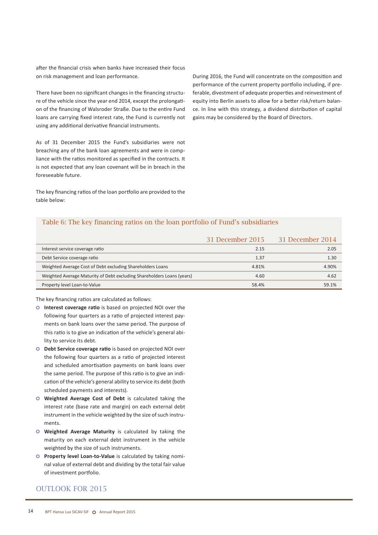after the financial crisis when banks have increased their focus on risk management and loan performance.

There have been no significant changes in the financing structure of the vehicle since the year end 2014, except the prolongation of the financing of Walsroder Straße. Due to the entire Fund loans are carrying fixed interest rate, the Fund is currently not using any additional derivative financial instruments.

As of 31 December 2015 the Fund's subsidiaries were not breaching any of the bank loan agreements and were in compliance with the ratios monitored as specified in the contracts. It is not expected that any loan covenant will be in breach in the foreseeable future.

The key financing ratios of the loan portfolio are provided to the table below:

During 2016, the Fund will concentrate on the composition and performance of the current property portfolio including, if preferable, divestment of adequate properties and reinvestment of equity into Berlin assets to allow for a better risk/return balance. In line with this strategy, a dividend distribution of capital gains may be considered by the Board of Directors.

### Table 6: The key financing ratios on the loan portfolio of Fund's subsidiaries

|                                                                        | 31 December 2015 | 31 December 2014 |
|------------------------------------------------------------------------|------------------|------------------|
| Interest service coverage ratio                                        | 2.15             | 2.05             |
| Debt Service coverage ratio                                            | 1.37             | 1.30             |
| Weighted Average Cost of Debt excluding Shareholders Loans             | 4.81%            | 4.90%            |
| Weighted Average Maturity of Debt excluding Shareholders Loans (years) | 4.60             | 4.62             |
| Property level Loan-to-Value                                           | 58.4%            | 59.1%            |

The key financing ratios are calculated as follows:

- **Interest coverage ratio** is based on projected NOI over the following four quarters as a ratio of projected interest payments on bank loans over the same period. The purpose of this ratio is to give an indication of the vehicle's general ability to service its debt.
- **Debt Service coverage ratio** is based on projected NOI over the following four quarters as a ratio of projected interest and scheduled amortisation payments on bank loans over the same period. The purpose of this ratio is to give an indication of the vehicle's general ability to service its debt (both scheduled payments and interests).
- **Weighted Average Cost of Debt** is calculated taking the interest rate (base rate and margin) on each external debt instrument in the vehicle weighted by the size of such instruments.
- **Weighted Average Maturity** is calculated by taking the maturity on each external debt instrument in the vehicle weighted by the size of such instruments.
- **Property level Loan-to-Value** is calculated by taking nominal value of external debt and dividing by the total fair value of investment portfolio.

### OUTLOOK FOR 2015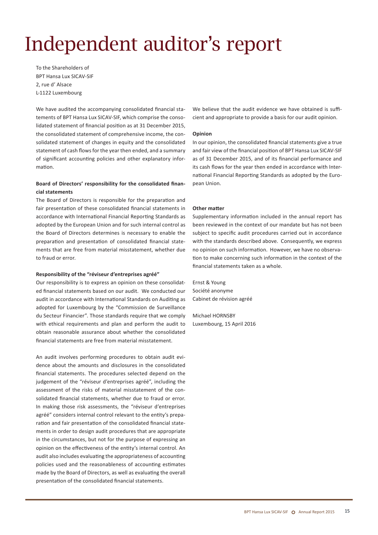# Independent auditor's report

To the Shareholders of BPT Hansa Lux SICAV-SIF 2, rue d' Alsace L-1122 Luxembourg

We have audited the accompanying consolidated financial statements of BPT Hansa Lux SICAV-SIF, which comprise the consolidated statement of financial position as at 31 December 2015, the consolidated statement of comprehensive income, the consolidated statement of changes in equity and the consolidated statement of cash flows for the year then ended, and a summary of significant accounting policies and other explanatory information.

#### **Board of Directors' responsibility for the consolidated financial statements**

The Board of Directors is responsible for the preparation and fair presentation of these consolidated financial statements in accordance with International Financial Reporting Standards as adopted by the European Union and for such internal control as the Board of Directors determines is necessary to enable the preparation and presentation of consolidated financial statements that are free from material misstatement, whether due to fraud or error.

#### **Responsibility of the "réviseur d'entreprises agréé"**

Our responsibility is to express an opinion on these consolidated financial statements based on our audit. We conducted our audit in accordance with International Standards on Auditing as adopted for Luxembourg by the "Commission de Surveillance du Secteur Financier". Those standards require that we comply with ethical requirements and plan and perform the audit to obtain reasonable assurance about whether the consolidated financial statements are free from material misstatement.

An audit involves performing procedures to obtain audit evidence about the amounts and disclosures in the consolidated financial statements. The procedures selected depend on the judgement of the "réviseur d'entreprises agréé", including the assessment of the risks of material misstatement of the consolidated financial statements, whether due to fraud or error. In making those risk assessments, the "réviseur d'entreprises agréé" considers internal control relevant to the entity's preparation and fair presentation of the consolidated financial statements in order to design audit procedures that are appropriate in the circumstances, but not for the purpose of expressing an opinion on the effectiveness of the entity's internal control. An audit also includes evaluating the appropriateness of accounting policies used and the reasonableness of accounting estimates made by the Board of Directors, as well as evaluating the overall presentation of the consolidated financial statements.

We believe that the audit evidence we have obtained is sufficient and appropriate to provide a basis for our audit opinion.

#### **Opinion**

In our opinion, the consolidated financial statements give a true and fair view of the financial position of BPT Hansa Lux SICAV-SIF as of 31 December 2015, and of its financial performance and its cash flows for the year then ended in accordance with International Financial Reporting Standards as adopted by the European Union.

#### **Other matter**

Supplementary information included in the annual report has been reviewed in the context of our mandate but has not been subject to specific audit procedures carried out in accordance with the standards described above. Consequently, we express no opinion on such information. However, we have no observation to make concerning such information in the context of the financial statements taken as a whole.

Ernst & Young Société anonyme Cabinet de révision agréé

Michael HORNSBY Luxembourg, 15 April 2016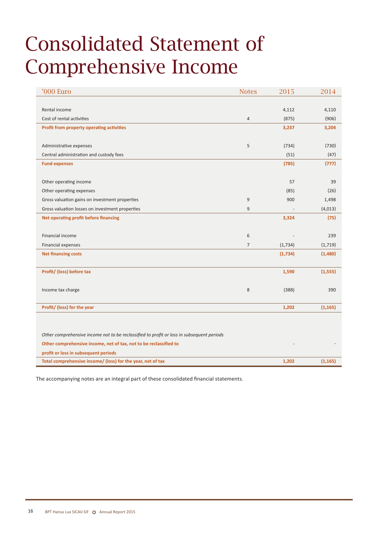## Consolidated Statement of Comprehensive Income

| '000 Euro                                                                                 | <b>Notes</b>   | 2015    | 2014     |
|-------------------------------------------------------------------------------------------|----------------|---------|----------|
|                                                                                           |                |         |          |
| Rental income                                                                             |                | 4,112   | 4,110    |
| Cost of rental activities                                                                 | $\overline{4}$ | (875)   | (906)    |
| Profit from property operating activities                                                 |                | 3,237   | 3,204    |
|                                                                                           |                |         |          |
| Administrative expenses                                                                   | 5              | (734)   | (730)    |
| Central administration and custody fees                                                   |                | (51)    | (47)     |
| <b>Fund expenses</b>                                                                      |                | (785)   | (777)    |
|                                                                                           |                |         |          |
| Other operating income                                                                    |                | 57      | 39       |
| Other operating expenses                                                                  |                | (85)    | (26)     |
| Gross valuation gains on investment properties                                            | $\overline{9}$ | 900     | 1,498    |
| Gross valuation losses on investment properties                                           | $\overline{9}$ |         | (4,013)  |
| Net operating profit before financing                                                     |                | 3,324   | (75)     |
|                                                                                           |                |         |          |
| Financial income                                                                          | 6              |         | 239      |
| Financial expenses                                                                        | $\overline{7}$ | (1,734) | (1,719)  |
| <b>Net financing costs</b>                                                                |                | (1,734) | (1,480)  |
|                                                                                           |                |         |          |
| Profit/ (loss) before tax                                                                 |                | 1,590   | (1, 555) |
|                                                                                           |                |         |          |
| Income tax charge                                                                         | 8              | (388)   | 390      |
|                                                                                           |                |         |          |
| Profit/ (loss) for the year                                                               |                | 1,202   | (1, 165) |
|                                                                                           |                |         |          |
|                                                                                           |                |         |          |
| Other comprehensive income not to be reclassified to profit or loss in subsequent periods |                |         |          |
| Other comprehensive income, net of tax, not to be reclassified to                         |                |         |          |
| profit or loss in subsequent periods                                                      |                |         |          |
| Total comprehensive income/ (loss) for the year, net of tax                               |                | 1,202   | (1, 165) |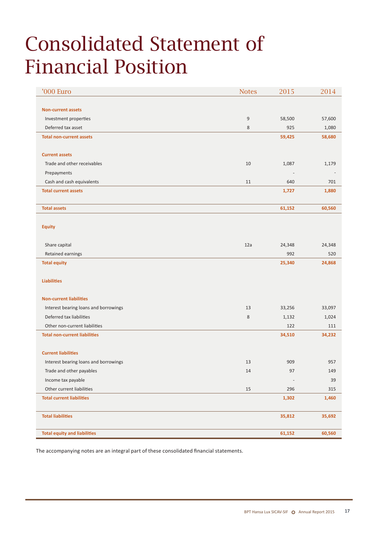## Consolidated Statement of Financial Position

| '000 Euro                             | <b>Notes</b>   | 2015   | 2014   |
|---------------------------------------|----------------|--------|--------|
|                                       |                |        |        |
| <b>Non-current assets</b>             |                |        |        |
| Investment properties                 | $\overline{9}$ | 58,500 | 57,600 |
| Deferred tax asset                    | $\,8\,$        | 925    | 1,080  |
| <b>Total non-current assets</b>       |                | 59,425 | 58,680 |
|                                       |                |        |        |
| <b>Current assets</b>                 |                |        |        |
| Trade and other receivables           | 10             | 1,087  | 1,179  |
| Prepayments                           |                |        |        |
| Cash and cash equivalents             | 11             | 640    | 701    |
| <b>Total current assets</b>           |                | 1,727  | 1,880  |
|                                       |                |        |        |
| <b>Total assets</b>                   |                | 61,152 | 60,560 |
|                                       |                |        |        |
| <b>Equity</b>                         |                |        |        |
|                                       |                |        |        |
| Share capital                         | 12a            | 24,348 | 24,348 |
| Retained earnings                     |                | 992    | 520    |
| <b>Total equity</b>                   |                | 25,340 | 24,868 |
|                                       |                |        |        |
| <b>Liabilities</b>                    |                |        |        |
|                                       |                |        |        |
| <b>Non-current liabilities</b>        |                |        |        |
| Interest bearing loans and borrowings | 13             | 33,256 | 33,097 |
| Deferred tax liabilities              | 8              | 1,132  | 1,024  |
| Other non-current liabilities         |                | 122    | 111    |
| <b>Total non-current liabilities</b>  |                | 34,510 | 34,232 |
|                                       |                |        |        |
| <b>Current liabilities</b>            |                |        |        |
| Interest bearing loans and borrowings | 13             | 909    | 957    |
| Trade and other payables              | $14\,$         | $97\,$ | 149    |
| Income tax payable                    |                |        | 39     |
| Other current liabilities             | $15\,$         | 296    | 315    |
| <b>Total current liabilities</b>      |                | 1,302  | 1,460  |
|                                       |                |        |        |
| <b>Total liabilities</b>              |                | 35,812 | 35,692 |
|                                       |                |        |        |
| <b>Total equity and liabilities</b>   |                | 61,152 | 60,560 |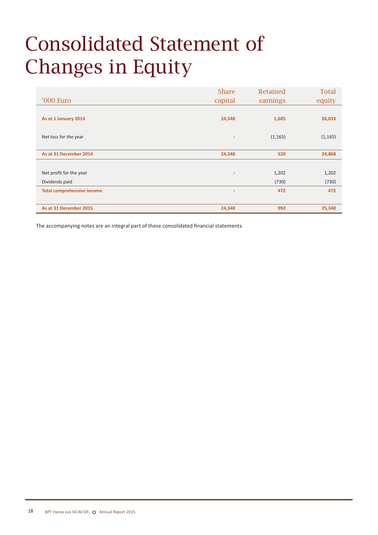# Consolidated Statement of Changes in Equity

|                                   | <b>Share</b>             | Retained | <b>Total</b> |
|-----------------------------------|--------------------------|----------|--------------|
| '000 Euro                         | capital                  | earnings | equity       |
|                                   |                          |          |              |
| As at 1 January 2014              | 24,348                   | 1,685    | 26,033       |
|                                   |                          |          |              |
| Net loss for the year             | $\overline{\phantom{a}}$ | (1, 165) | (1, 165)     |
|                                   |                          |          |              |
| As at 31 December 2014            | 24,348                   | 520      | 24,868       |
|                                   |                          |          |              |
| Net profit for the year           | $\overline{\phantom{a}}$ | 1,202    | 1,202        |
| Dividends paid                    |                          | (730)    | (730)        |
| <b>Total comprehensive income</b> | ۰                        | 472      | 472          |
|                                   |                          |          |              |
| As at 31 December 2015            | 24,348                   | 992      | 25,340       |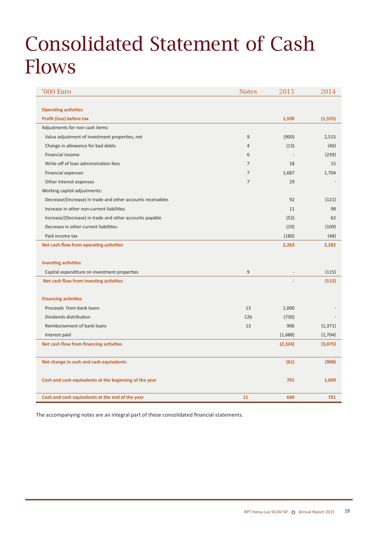## Consolidated Statement of Cash Flows

| '000 Euro                                                   | <b>Notes</b>    | 2015     | 2014     |
|-------------------------------------------------------------|-----------------|----------|----------|
|                                                             |                 |          |          |
| <b>Operating activities</b>                                 |                 |          |          |
| Profit (loss) before tax                                    |                 | 1,590    | (1, 555) |
| Adjustments for non-cash items:                             |                 |          |          |
| Value adjustment of investment properties, net              | 9               | (900)    | 2,515    |
| Change in allowance for bad debts                           | $\overline{4}$  | (13)     | (40)     |
| Financial income                                            | 6               |          | (239)    |
| Write-off of loan administration fees                       | $\overline{7}$  | 18       | 15       |
| Financial expenses                                          | $\overline{7}$  | 1,687    | 1,704    |
| Other interest expenses                                     | $\overline{7}$  | 29       |          |
| Working capital adjustments:                                |                 |          |          |
| Decrease/(Increase) in trade and other accounts receivables |                 | 92       | (121)    |
| Increase in other non-current liabilities                   |                 | 11       | 98       |
| Increase/(Decrease) in trade and other accounts payable     |                 | (52)     | 62       |
| Decrease in other current liabilities                       |                 | (19)     | (109)    |
| Paid income tax                                             |                 | (180)    | (48)     |
| Net cash flow from operating activities                     |                 | 2,263    | 2,282    |
|                                                             |                 |          |          |
| <b>Investing activities</b>                                 |                 |          |          |
| Capital expenditure on investment properties                | 9               |          | (115)    |
| Net cash flow from investing activities                     |                 |          | (115)    |
|                                                             |                 |          |          |
| <b>Financing activities</b>                                 |                 |          |          |
| Proceeds from bank loans                                    | 13              | 1,000    |          |
| Dividends distribution                                      | 12 <sub>b</sub> | (730)    |          |
| Reimbursement of bank loans                                 | 13              | 906      | (1, 371) |
| Interest paid                                               |                 | (1,688)  | (1,704)  |
| Net cash flow from financing activities                     |                 | (2, 324) | (3,075)  |
|                                                             |                 |          |          |
| Net change in cash and cash equivalents                     |                 | (61)     | (908)    |
|                                                             |                 |          |          |
| Cash and cash equivalents at the beginning of the year      |                 | 701      | 1,609    |
|                                                             |                 |          |          |
| Cash and cash equivalents at the end of the year            | 11              | 640      | 701      |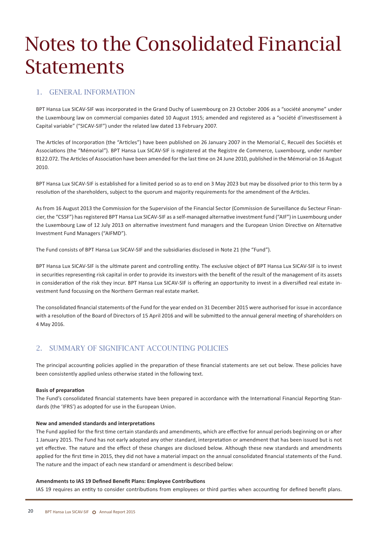## Notes to the Consolidated Financial **Statements**

### 1. General information

BPT Hansa Lux SICAV-SIF was incorporated in the Grand Duchy of Luxembourg on 23 October 2006 as a "société anonyme" under the Luxembourg law on commercial companies dated 10 August 1915; amended and registered as a "société d'investissement à Capital variable" ("SICAV-SIF") under the related law dated 13 February 2007.

The Articles of Incorporation (the "Articles") have been published on 26 January 2007 in the Memorial C, Recueil des Sociétés et Associations (the "Mémorial"). BPT Hansa Lux SICAV-SIF is registered at the Registre de Commerce, Luxembourg, under number B122.072. The Articles of Association have been amended for the last time on 24 June 2010, published in the Mémorial on 16 August 2010.

BPT Hansa Lux SICAV-SIF is established for a limited period so as to end on 3 May 2023 but may be dissolved prior to this term by a resolution of the shareholders, subject to the quorum and majority requirements for the amendment of the Articles.

As from 16 August 2013 the Commission for the Supervision of the Financial Sector (Commission de Surveillance du Secteur Financier, the "CSSF") has registered BPT Hansa Lux SICAV-SIF as a self-managed alternative investment fund ("AIF") in Luxembourg under the Luxembourg Law of 12 July 2013 on alternative investment fund managers and the European Union Directive on Alternative Investment Fund Managers ("AIFMD").

The Fund consists of BPT Hansa Lux SICAV-SIF and the subsidiaries disclosed in Note 21 (the "Fund").

BPT Hansa Lux SICAV-SIF is the ultimate parent and controlling entity. The exclusive object of BPT Hansa Lux SICAV-SIF is to invest in securities representing risk capital in order to provide its investors with the benefit of the result of the management of its assets in consideration of the risk they incur. BPT Hansa Lux SICAV-SIF is offering an opportunity to invest in a diversified real estate investment fund focussing on the Northern German real estate market.

The consolidated financial statements of the Fund for the year ended on 31 December 2015 were authorised for issue in accordance with a resolution of the Board of Directors of 15 April 2016 and will be submitted to the annual general meeting of shareholders on 4 May 2016.

## 2. Summary of significant accounting policies

The principal accounting policies applied in the preparation of these financial statements are set out below. These policies have been consistently applied unless otherwise stated in the following text.

#### **Basis of preparation**

The Fund's consolidated financial statements have been prepared in accordance with the International Financial Reporting Standards (the 'IFRS') as adopted for use in the European Union.

#### **New and amended standards and interpretations**

The Fund applied for the first time certain standards and amendments, which are effective for annual periods beginning on or after 1 January 2015. The Fund has not early adopted any other standard, interpretation or amendment that has been issued but is not yet effective. The nature and the effect of these changes are disclosed below. Although these new standards and amendments applied for the first time in 2015, they did not have a material impact on the annual consolidated financial statements of the Fund. The nature and the impact of each new standard or amendment is described below:

#### **Amendments to IAS 19 Defined Benefit Plans: Employee Contributions**

IAS 19 requires an entity to consider contributions from employees or third parties when accounting for defined benefit plans.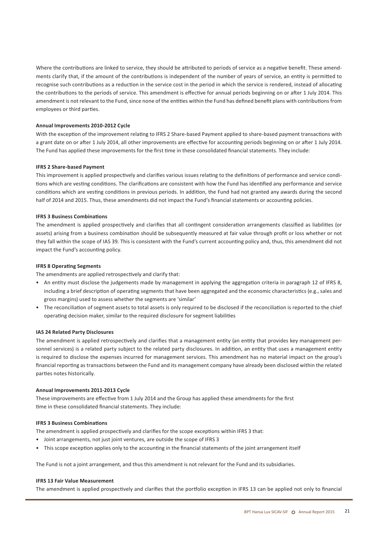Where the contributions are linked to service, they should be attributed to periods of service as a negative benefit. These amendments clarify that, if the amount of the contributions is independent of the number of years of service, an entity is permitted to recognise such contributions as a reduction in the service cost in the period in which the service is rendered, instead of allocating the contributions to the periods of service. This amendment is effective for annual periods beginning on or after 1 July 2014. This amendment is not relevant to the Fund, since none of the entities within the Fund has defined benefit plans with contributions from employees or third parties.

#### **Annual Improvements 2010-2012 Cycle**

With the exception of the improvement relating to IFRS 2 Share-based Payment applied to share-based payment transactions with a grant date on or after 1 July 2014, all other improvements are effective for accounting periods beginning on or after 1 July 2014. The Fund has applied these improvements for the first time in these consolidated financial statements. They include:

#### **IFRS 2 Share-based Payment**

This improvement is applied prospectively and clarifies various issues relating to the definitions of performance and service conditions which are vesting conditions. The clarifications are consistent with how the Fund has identified any performance and service conditions which are vesting conditions in previous periods. In addition, the Fund had not granted any awards during the second half of 2014 and 2015. Thus, these amendments did not impact the Fund's financial statements or accounting policies.

#### **IFRS 3 Business Combinations**

The amendment is applied prospectively and clarifies that all contingent consideration arrangements classified as liabilities (or assets) arising from a business combination should be subsequently measured at fair value through profit or loss whether or not they fall within the scope of IAS 39. This is consistent with the Fund's current accounting policy and, thus, this amendment did not impact the Fund's accounting policy.

#### **IFRS 8 Operating Segments**

The amendments are applied retrospectively and clarify that:

- • An entity must disclose the judgements made by management in applying the aggregation criteria in paragraph 12 of IFRS 8, including a brief description of operating segments that have been aggregated and the economic characteristics (e.g., sales and gross margins) used to assess whether the segments are 'similar'
- • The reconciliation of segment assets to total assets is only required to be disclosed if the reconciliation is reported to the chief operating decision maker, similar to the required disclosure for segment liabilities

#### **IAS 24 Related Party Disclosures**

The amendment is applied retrospectively and clarifies that a management entity (an entity that provides key management personnel services) is a related party subject to the related party disclosures. In addition, an entity that uses a management entity is required to disclose the expenses incurred for management services. This amendment has no material impact on the group's financial reporting as transactions between the Fund and its management company have already been disclosed within the related parties notes historically.

#### **Annual Improvements 2011-2013 Cycle**

These improvements are effective from 1 July 2014 and the Group has applied these amendments for the first time in these consolidated financial statements. They include:

#### **IFRS 3 Business Combinations**

The amendment is applied prospectively and clarifies for the scope exceptions within IFRS 3 that:

- • Joint arrangements, not just joint ventures, are outside the scope of IFRS 3
- • This scope exception applies only to the accounting in the financial statements of the joint arrangement itself

The Fund is not a joint arrangement, and thus this amendment is not relevant for the Fund and its subsidiaries.

#### **IFRS 13 Fair Value Measurement**

The amendment is applied prospectively and clarifies that the portfolio exception in IFRS 13 can be applied not only to financial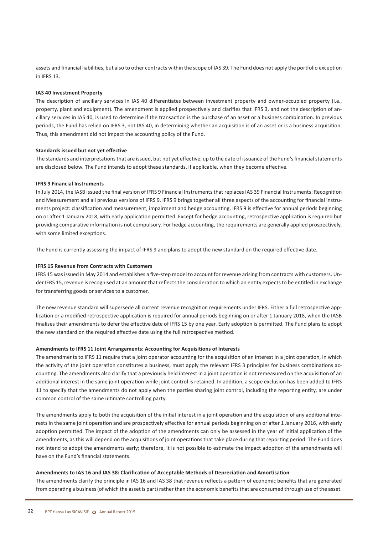assets and financial liabilities, but also to other contracts within the scope of IAS 39. The Fund does not apply the portfolio exception in IFRS 13.

#### **IAS 40 Investment Property**

The description of ancillary services in IAS 40 differentiates between investment property and owner-occupied property (i.e., property, plant and equipment). The amendment is applied prospectively and clarifies that IFRS 3, and not the description of ancillary services in IAS 40, is used to determine if the transaction is the purchase of an asset or a business combination. In previous periods, the Fund has relied on IFRS 3, not IAS 40, in determining whether an acquisition is of an asset or is a business acquisition. Thus, this amendment did not impact the accounting policy of the Fund.

#### **Standards issued but not yet effective**

The standards and interpretationsthat are issued, but not yet effective, up to the date of issuance of the Fund's financialstatements are disclosed below. The Fund intends to adopt these standards, if applicable, when they become effective.

#### **IFRS 9 Financial Instruments**

In July 2014, the IASB issued the final version of IFRS 9 Financial Instruments that replaces IAS 39 Financial Instruments: Recognition and Measurement and all previous versions of IFRS 9. IFRS 9 brings together all three aspects of the accounting for financial instruments project: classification and measurement, impairment and hedge accounting. IFRS 9 is effective for annual periods beginning on or after 1 January 2018, with early application permitted. Except for hedge accounting, retrospective application is required but providing comparative information is not compulsory. For hedge accounting, the requirements are generally applied prospectively, with some limited exceptions.

The Fund is currently assessing the impact of IFRS 9 and plans to adopt the new standard on the required effective date.

#### **IFRS 15 Revenue from Contracts with Customers**

IFRS 15 wasissued in May 2014 and establishes a five-step model to account for revenue arising from contracts with customers. Under IFRS 15, revenue is recognised at an amount that reflects the consideration to which an entity expects to be entitled in exchange for transferring goods or services to a customer.

The new revenue standard will supersede all current revenue recognition requirements under IFRS. Either a full retrospective application or a modified retrospective application is required for annual periods beginning on or after 1 January 2018, when the IASB finalises their amendments to defer the effective date of IFRS 15 by one year. Early adoption is permitted. The Fund plans to adopt the new standard on the required effective date using the full retrospective method.

#### **Amendments to IFRS 11 Joint Arrangements: Accounting for Acquisitions of Interests**

The amendments to IFRS 11 require that a joint operator accounting for the acquisition of an interest in a joint operation, in which the activity of the joint operation constitutes a business, must apply the relevant IFRS 3 principles for business combinations accounting. The amendments also clarify that a previously held interest in a joint operation is not remeasured on the acquisition of an additional interest in the same joint operation while joint control is retained. In addition, a scope exclusion has been added to IFRS 11 to specify that the amendments do not apply when the parties sharing joint control, including the reporting entity, are under common control of the same ultimate controlling party.

The amendments apply to both the acquisition of the initial interest in a joint operation and the acquisition of any additional interests in the same joint operation and are prospectively effective for annual periods beginning on or after 1 January 2016, with early adoption permitted. The impact of the adoption of the amendments can only be assessed in the year of initial application of the amendments, as this will depend on the acquisitions of joint operations that take place during that reporting period. The Fund does not intend to adopt the amendments early; therefore, it is not possible to estimate the impact adoption of the amendments will have on the Fund's financial statements.

#### **Amendments to IAS 16 and IAS 38: Clarification of Acceptable Methods of Depreciation and Amortisation**

The amendments clarify the principle in IAS 16 and IAS 38 that revenue reflects a pattern of economic benefits that are generated from operating a business (of which the asset is part) rather than the economic benefits that are consumed through use of the asset.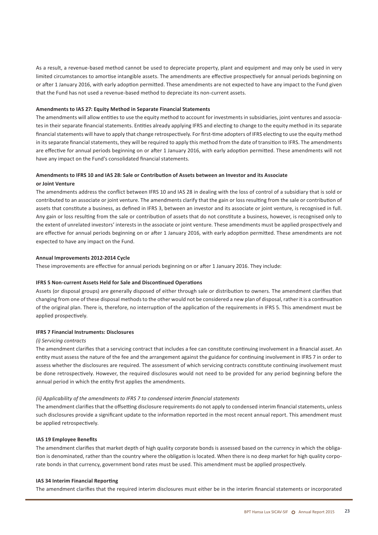As a result, a revenue-based method cannot be used to depreciate property, plant and equipment and may only be used in very limited circumstances to amortise intangible assets. The amendments are effective prospectively for annual periods beginning on or after 1 January 2016, with early adoption permitted. These amendments are not expected to have any impact to the Fund given that the Fund has not used a revenue-based method to depreciate its non-current assets.

#### **Amendments to IAS 27: Equity Method in Separate Financial Statements**

The amendments will allow entities to use the equity method to account for investments in subsidiaries, joint ventures and associates in their separate financial statements. Entities already applying IFRS and electing to change to the equity method in its separate financialstatements will have to apply that change retrospectively. For first-time adopters of IFRS electing to use the equity method in its separate financial statements, they will be required to apply this method from the date of transition to IFRS. The amendments are effective for annual periods beginning on or after 1 January 2016, with early adoption permitted. These amendments will not have any impact on the Fund's consolidated financial statements.

## **Amendments to IFRS 10 and IAS 28: Sale or Contribution of Assets between an Investor and its Associate**

#### **or Joint Venture**

The amendments address the conflict between IFRS 10 and IAS 28 in dealing with the loss of control of a subsidiary that is sold or contributed to an associate or joint venture. The amendments clarify that the gain or loss resulting from the sale or contribution of assets that constitute a business, as defined in IFRS 3, between an investor and its associate or joint venture, is recognised in full. Any gain or loss resulting from the sale or contribution of assets that do not constitute a business, however, is recognised only to the extent of unrelated investors' interests in the associate or joint venture. These amendments must be applied prospectively and are effective for annual periods beginning on or after 1 January 2016, with early adoption permitted. These amendments are not expected to have any impact on the Fund.

#### **Annual Improvements 2012-2014 Cycle**

These improvements are effective for annual periods beginning on or after 1 January 2016. They include:

#### **IFRS 5 Non-current Assets Held for Sale and Discontinued Operations**

Assets (or disposal groups) are generally disposed of either through sale or distribution to owners. The amendment clarifies that changing from one of these disposal methodsto the other would not be considered a new plan of disposal, rather it is a continuation of the original plan. There is, therefore, no interruption of the application of the requirements in IFRS 5. This amendment must be applied prospectively.

#### **IFRS 7 Financial Instruments: Disclosures**

#### *(i) Servicing contracts*

The amendment clarifies that a servicing contract that includes a fee can constitute continuing involvement in a financial asset. An entity must assess the nature of the fee and the arrangement against the guidance for continuing involvement in IFRS 7 in order to assess whether the disclosures are required. The assessment of which servicing contracts constitute continuing involvement must be done retrospectively. However, the required disclosures would not need to be provided for any period beginning before the annual period in which the entity first applies the amendments.

#### *(ii) Applicability of the amendments to IFRS 7 to condensed interim financial statements*

The amendment clarifies that the offsetting disclosure requirements do not apply to condensed interim financial statements, unless such disclosures provide a significant update to the information reported in the most recent annual report. This amendment must be applied retrospectively.

#### **IAS 19 Employee Benefits**

The amendment clarifies that market depth of high quality corporate bonds is assessed based on the currency in which the obligation is denominated, rather than the country where the obligation is located. When there is no deep market for high quality corporate bonds in that currency, government bond rates must be used. This amendment must be applied prospectively.

#### **IAS 34 Interim Financial Reporting**

The amendment clarifies that the required interim disclosures must either be in the interim financial statements or incorporated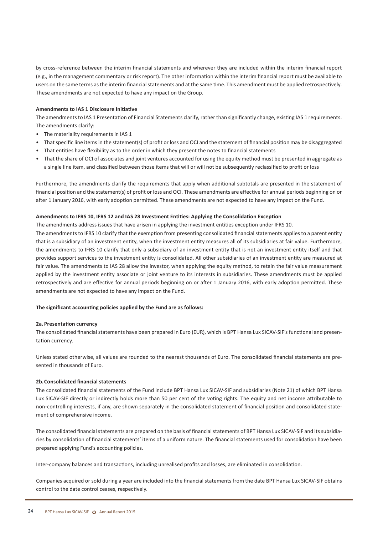by cross-reference between the interim financial statements and wherever they are included within the interim financial report (e.g., in the management commentary or risk report). The other information within the interim financial report must be available to users on the same terms asthe interim financialstatements and at the same time. This amendment must be applied retrospectively. These amendments are not expected to have any impact on the Group.

#### **Amendments to IAS 1 Disclosure Initiative**

The amendmentsto IAS 1 Presentation of Financial Statements clarify, rather than significantly change, existing IAS 1 requirements. The amendments clarify:

- The materiality requirements in IAS 1
- That specific line items in the statement(s) of profit or loss and OCI and the statement of financial position may be disaggregated
- • That entities have flexibility as to the order in which they present the notes to financial statements
- • That the share of OCI of associates and joint ventures accounted for using the equity method must be presented in aggregate as a single line item, and classified between those items that will or will not be subsequently reclassified to profit or loss

Furthermore, the amendments clarify the requirements that apply when additional subtotals are presented in the statement of financial position and the statement(s) of profit or loss and OCI. These amendments are effective for annual periods beginning on or after 1 January 2016, with early adoption permitted. These amendments are not expected to have any impact on the Fund.

#### **Amendments to IFRS 10, IFRS 12 and IAS 28 Investment Entities: Applying the Consolidation Exception**

The amendments address issues that have arisen in applying the investment entities exception under IFRS 10.

The amendments to IFRS 10 clarify that the exemption from presenting consolidated financial statements applies to a parent entity that is a subsidiary of an investment entity, when the investment entity measures all of its subsidiaries at fair value. Furthermore, the amendments to IFRS 10 clarify that only a subsidiary of an investment entity that is not an investment entity itself and that provides support services to the investment entity is consolidated. All other subsidiaries of an investment entity are measured at fair value. The amendments to IAS 28 allow the investor, when applying the equity method, to retain the fair value measurement applied by the investment entity associate or joint venture to its interests in subsidiaries. These amendments must be applied retrospectively and are effective for annual periods beginning on or after 1 January 2016, with early adoption permitted. These amendments are not expected to have any impact on the Fund.

#### **The significant accounting policies applied by the Fund are as follows:**

#### **2a.Presentation currency**

The consolidated financial statements have been prepared in Euro (EUR), which is BPT Hansa Lux SICAV-SIF's functional and presentation currency.

Unless stated otherwise, all values are rounded to the nearest thousands of Euro. The consolidated financial statements are presented in thousands of Euro.

#### **2b.Consolidated financial statements**

The consolidated financial statements of the Fund include BPT Hansa Lux SICAV-SIF and subsidiaries (Note 21) of which BPT Hansa Lux SICAV-SIF directly or indirectly holds more than 50 per cent of the voting rights. The equity and net income attributable to non-controlling interests, if any, are shown separately in the consolidated statement of financial position and consolidated statement of comprehensive income.

The consolidated financial statements are prepared on the basis of financial statements of BPT Hansa Lux SICAV-SIF and its subsidiaries by consolidation of financial statements' items of a uniform nature. The financial statements used for consolidation have been prepared applying Fund's accounting policies.

Inter-company balances and transactions, including unrealised profits and losses, are eliminated in consolidation.

Companies acquired or sold during a year are included into the financial statements from the date BPT Hansa Lux SICAV-SIF obtains control to the date control ceases, respectively.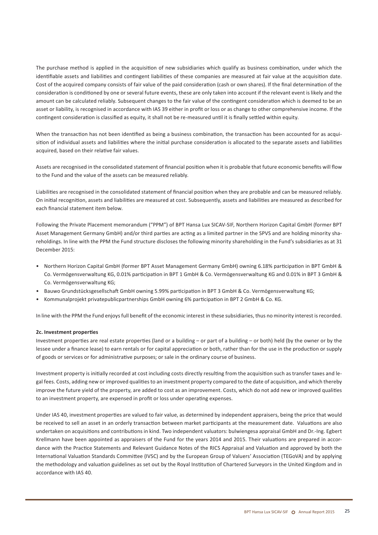The purchase method is applied in the acquisition of new subsidiaries which qualify as business combination, under which the identifiable assets and liabilities and contingent liabilities of these companies are measured at fair value at the acquisition date. Cost of the acquired company consists of fair value of the paid consideration (cash or own shares). If the final determination of the consideration is conditioned by one or several future events, these are only taken into account if the relevant event is likely and the amount can be calculated reliably. Subsequent changes to the fair value of the contingent consideration which is deemed to be an asset or liability, is recognised in accordance with IAS 39 either in profit or loss or as change to other comprehensive income. If the contingent consideration is classified as equity, it shall not be re-measured until it is finally settled within equity.

When the transaction has not been identified as being a business combination, the transaction has been accounted for as acquisition of individual assets and liabilities where the initial purchase consideration is allocated to the separate assets and liabilities acquired, based on their relative fair values.

Assets are recognised in the consolidated statement of financial position when it is probable that future economic benefits will flow to the Fund and the value of the assets can be measured reliably.

Liabilities are recognised in the consolidated statement of financial position when they are probable and can be measured reliably. On initial recognition, assets and liabilities are measured at cost. Subsequently, assets and liabilities are measured as described for each financial statement item below.

Following the Private Placement memorandum ("PPM") of BPT Hansa Lux SICAV-SIF, Northern Horizon Capital GmbH (former BPT Asset Management Germany GmbH) and/or third parties are acting as a limited partner in the SPVS and are holding minority shareholdings. In line with the PPM the Fund structure discloses the following minority shareholding in the Fund's subsidiaries as at 31 December 2015:

- • Northern Horizon Capital GmbH (former BPT Asset Management Germany GmbH) owning 6.18% participation in BPT GmbH & Co. Vermögensverwaltung KG, 0.01% participation in BPT 1 GmbH & Co. Vermögensverwaltung KG and 0.01% in BPT 3 GmbH & Co. Vermögensverwaltung KG;
- • Bauwo Grundstücksgesellschaft GmbH owning 5.99% participation in BPT 3 GmbH & Co. Vermögensverwaltung KG;
- • Kommunalprojekt privatepublicpartnerships GmbH owning 6% participation in BPT 2 GmbH & Co. KG.

In line with the PPM the Fund enjoys full benefit of the economic interest in these subsidiaries, thus no minority interest is recorded.

#### **2c. Investment properties**

Investment properties are real estate properties (land or a building – or part of a building – or both) held (by the owner or by the lessee under a finance lease) to earn rentals or for capital appreciation or both, rather than for the use in the production or supply of goods or services or for administrative purposes; or sale in the ordinary course of business.

Investment property is initially recorded at cost including costs directly resulting from the acquisition such as transfer taxes and legal fees. Costs, adding new or improved qualitiesto an investment property compared to the date of acquisition, and which thereby improve the future yield of the property, are added to cost as an improvement. Costs, which do not add new or improved qualities to an investment property, are expensed in profit or loss under operating expenses.

Under IAS 40, investment properties are valued to fair value, as determined by independent appraisers, being the price that would be received to sell an asset in an orderly transaction between market participants at the measurement date. Valuations are also undertaken on acquisitions and contributions in kind. Two independent valuators: bulwiengesa appraisal GmbH and Dr.-Ing. Egbert Krellmann have been appointed as appraisers of the Fund for the years 2014 and 2015. Their valuations are prepared in accordance with the Practice Statements and Relevant Guidance Notes of the RICS Appraisal and Valuation and approved by both the International Valuation Standards Committee (IVSC) and by the European Group of Valuers' Association (TEGoVA) and by applying the methodology and valuation guidelines as set out by the Royal Institution of Chartered Surveyors in the United Kingdom and in accordance with IAS 40.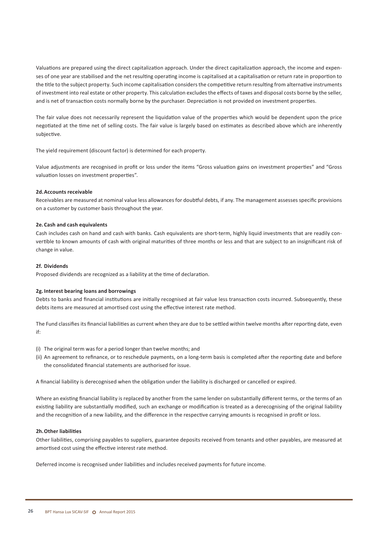Valuations are prepared using the direct capitalization approach. Under the direct capitalization approach, the income and expenses of one year are stabilised and the net resulting operating income is capitalised at a capitalisation or return rate in proportion to the title to the subject property. Such income capitalisation considers the competitive return resulting from alternative instruments of investment into real estate or other property. This calculation excludes the effects of taxes and disposal costs borne by the seller, and is net of transaction costs normally borne by the purchaser. Depreciation is not provided on investment properties.

The fair value does not necessarily represent the liquidation value of the properties which would be dependent upon the price negotiated at the time net of selling costs. The fair value is largely based on estimates as described above which are inherently subjective.

The yield requirement (discount factor) is determined for each property.

Value adjustments are recognised in profit or loss under the items "Gross valuation gains on investment properties" and "Gross valuation losses on investment properties".

#### **2d.Accounts receivable**

Receivables are measured at nominal value less allowances for doubtful debts, if any. The management assesses specific provisions on a customer by customer basis throughout the year.

#### **2e. Cash and cash equivalents**

Cash includes cash on hand and cash with banks. Cash equivalents are short-term, highly liquid investments that are readily convertible to known amounts of cash with original maturities of three months or less and that are subject to an insignificant risk of change in value.

#### **2f. Dividends**

Proposed dividends are recognized as a liability at the time of declaration.

#### **2g. Interest bearing loans and borrowings**

Debts to banks and financial institutions are initially recognised at fair value less transaction costs incurred. Subsequently, these debts items are measured at amortised cost using the effective interest rate method.

The Fund classifies its financial liabilities as current when they are due to be settled within twelve months after reporting date, even if:

- (i) The original term was for a period longer than twelve months; and
- (ii) An agreement to refinance, or to reschedule payments, on a long-term basis is completed after the reporting date and before the consolidated financial statements are authorised for issue.

A financial liability is derecognised when the obligation under the liability is discharged or cancelled or expired.

Where an existing financial liability is replaced by another from the same lender on substantially different terms, or the terms of an existing liability are substantially modified, such an exchange or modification is treated as a derecognising of the original liability and the recognition of a new liability, and the difference in the respective carrying amounts is recognised in profit or loss.

#### **2h.Other liabilities**

Other liabilities, comprising payables to suppliers, guarantee deposits received from tenants and other payables, are measured at amortised cost using the effective interest rate method.

Deferred income is recognised under liabilities and includes received payments for future income.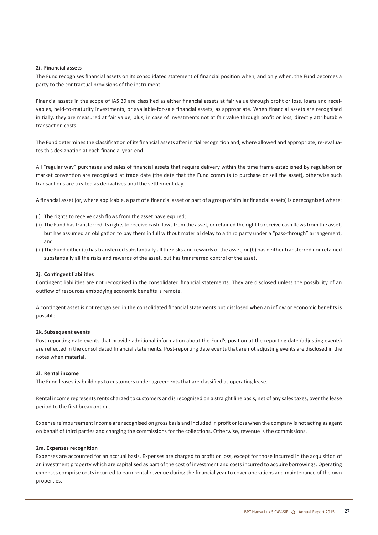#### **2i. Financial assets**

The Fund recognises financial assets on its consolidated statement of financial position when, and only when, the Fund becomes a party to the contractual provisions of the instrument.

Financial assets in the scope of IAS 39 are classified as either financial assets at fair value through profit or loss, loans and receivables, held-to-maturity investments, or available-for-sale financial assets, as appropriate. When financial assets are recognised initially, they are measured at fair value, plus, in case of investments not at fair value through profit or loss, directly attributable transaction costs.

The Fund determines the classification of its financial assets after initial recognition and, where allowed and appropriate, re-evaluates this designation at each financial year-end.

All "regular way" purchases and sales of financial assets that require delivery within the time frame established by regulation or market convention are recognised at trade date (the date that the Fund commits to purchase or sell the asset), otherwise such transactions are treated as derivatives until the settlement day.

A financial asset (or, where applicable, a part of a financial asset or part of a group of similar financial assets) is derecognised where:

- (i) The rights to receive cash flows from the asset have expired;
- (ii) The Fund has transferred its rights to receive cash flows from the asset, or retained the right to receive cash flows from the asset, but has assumed an obligation to pay them in full without material delay to a third party under a "pass-through" arrangement; and
- (iii) The Fund either (a) has transferred substantially all the risks and rewards of the asset, or (b) has neither transferred nor retained substantially all the risks and rewards of the asset, but has transferred control of the asset.

#### **2j. Contingent liabilities**

Contingent liabilities are not recognised in the consolidated financial statements. They are disclosed unless the possibility of an outflow of resources embodying economic benefits is remote.

A contingent asset is not recognised in the consolidated financial statements but disclosed when an inflow or economic benefits is possible.

#### **2k. Subsequent events**

Post-reporting date events that provide additional information about the Fund's position at the reporting date (adjusting events) are reflected in the consolidated financial statements. Post-reporting date events that are not adjusting events are disclosed in the notes when material.

#### **2l. Rental income**

The Fund leases its buildings to customers under agreements that are classified as operating lease.

Rental income represents rents charged to customers and is recognised on a straight line basis, net of any sales taxes, over the lease period to the first break option.

Expense reimbursement income are recognised on gross basis and included in profit or loss when the company is not acting as agent on behalf of third parties and charging the commissions for the collections. Otherwise, revenue is the commissions.

#### **2m. Expenses recognition**

Expenses are accounted for an accrual basis. Expenses are charged to profit or loss, except for those incurred in the acquisition of an investment property which are capitalised as part of the cost of investment and costs incurred to acquire borrowings. Operating expenses comprise costs incurred to earn rental revenue during the financial year to cover operations and maintenance of the own properties.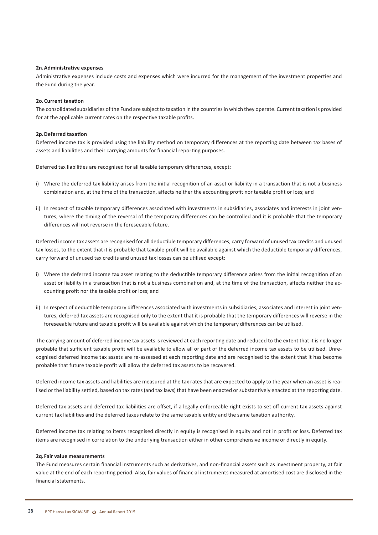#### **2n.Administrative expenses**

Administrative expenses include costs and expenses which were incurred for the management of the investment properties and the Fund during the year.

#### **2o.Current taxation**

The consolidated subsidiaries of the Fund are subject to taxation in the countriesin which they operate. Current taxation is provided for at the applicable current rates on the respective taxable profits.

#### **2p.Deferred taxation**

Deferred income tax is provided using the liability method on temporary differences at the reporting date between tax bases of assets and liabilities and their carrying amounts for financial reporting purposes.

Deferred tax liabilities are recognised for all taxable temporary differences, except:

- i) Where the deferred tax liability arises from the initial recognition of an asset or liability in a transaction that is not a business combination and, at the time of the transaction, affects neither the accounting profit nor taxable profit or loss; and
- ii) In respect of taxable temporary differences associated with investments in subsidiaries, associates and interests in joint ventures, where the timing of the reversal of the temporary differences can be controlled and it is probable that the temporary differences will not reverse in the foreseeable future.

Deferred income tax assets are recognised for all deductible temporary differences, carry forward of unused tax credits and unused tax losses, to the extent that it is probable that taxable profit will be available against which the deductible temporary differences, carry forward of unused tax credits and unused tax losses can be utilised except:

- i) Where the deferred income tax asset relating to the deductible temporary difference arises from the initial recognition of an asset or liability in a transaction that is not a business combination and, at the time of the transaction, affects neither the accounting profit nor the taxable profit or loss; and
- ii) In respect of deductible temporary differences associated with investments in subsidiaries, associates and interest in joint ventures, deferred tax assets are recognised only to the extent that it is probable that the temporary differences will reverse in the foreseeable future and taxable profit will be available against which the temporary differences can be utilised.

The carrying amount of deferred income tax assets is reviewed at each reporting date and reduced to the extent that it is no longer probable that sufficient taxable profit will be available to allow all or part of the deferred income tax assets to be utilised. Unrecognised deferred income tax assets are re-assessed at each reporting date and are recognised to the extent that it has become probable that future taxable profit will allow the deferred tax assets to be recovered.

Deferred income tax assets and liabilities are measured at the tax rates that are expected to apply to the year when an asset is realised or the liability settled, based on tax rates (and tax laws) that have been enacted or substantively enacted at the reporting date.

Deferred tax assets and deferred tax liabilities are offset, if a legally enforceable right exists to set off current tax assets against current tax liabilities and the deferred taxes relate to the same taxable entity and the same taxation authority.

Deferred income tax relating to items recognised directly in equity is recognised in equity and not in profit or loss. Deferred tax items are recognised in correlation to the underlying transaction either in other comprehensive income or directly in equity.

#### **2q.Fair value measurements**

The Fund measures certain financial instruments such as derivatives, and non-financial assets such as investment property, at fair value at the end of each reporting period. Also, fair values of financial instruments measured at amortised cost are disclosed in the financial statements.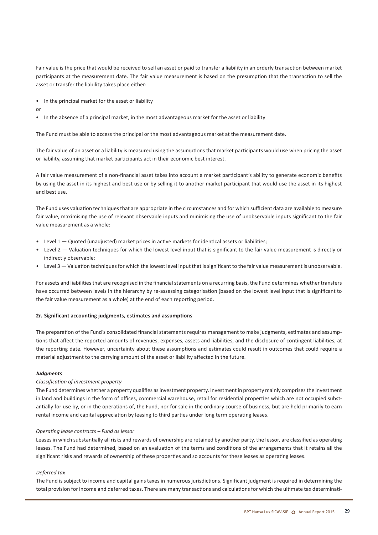Fair value is the price that would be received to sell an asset or paid to transfer a liability in an orderly transaction between market participants at the measurement date. The fair value measurement is based on the presumption that the transaction to sell the asset or transfer the liability takes place either:

- • In the principal market for the asset or liability
- or
- • In the absence of a principal market, in the most advantageous market for the asset or liability

The Fund must be able to access the principal or the most advantageous market at the measurement date.

The fair value of an asset or a liability is measured using the assumptions that market participants would use when pricing the asset or liability, assuming that market participants act in their economic best interest.

A fair value measurement of a non-financial asset takes into account a market participant's ability to generate economic benefits by using the asset in its highest and best use or by selling it to another market participant that would use the asset in its highest and best use.

The Fund uses valuation techniquesthat are appropriate in the circumstances and for which sufficient data are available to measure fair value, maximising the use of relevant observable inputs and minimising the use of unobservable inputs significant to the fair value measurement as a whole:

- Level 1 Quoted (unadjusted) market prices in active markets for identical assets or liabilities;
- • Level 2 Valuation techniques for which the lowest level input that is significant to the fair value measurement is directly or indirectly observable;
- • Level 3 Valuation techniquesfor which the lowest level input that issignificant to the fair value measurement is unobservable.

For assets and liabilities that are recognised in the financial statements on a recurring basis, the Fund determines whether transfers have occurred between levels in the hierarchy by re-assessing categorisation (based on the lowest level input that is significant to the fair value measurement as a whole) at the end of each reporting period.

#### **2r. Significant accounting judgments, estimates and assumptions**

The preparation of the Fund's consolidated financial statements requires management to make judgments, estimates and assumptions that affect the reported amounts of revenues, expenses, assets and liabilities, and the disclosure of contingent liabilities, at the reporting date. However, uncertainty about these assumptions and estimates could result in outcomes that could require a material adjustment to the carrying amount of the asset or liability affected in the future.

#### *Judgments*

#### *Classification of investment property*

The Fund determines whether a property qualifies asinvestment property. Investment in property mainly comprisesthe investment in land and buildings in the form of offices, commercial warehouse, retail for residential properties which are not occupied substantially for use by, or in the operations of, the Fund, nor for sale in the ordinary course of business, but are held primarily to earn rental income and capital appreciation by leasing to third parties under long term operating leases.

#### *Operating lease contracts – Fund as lessor*

Leases in which substantially all risks and rewards of ownership are retained by another party, the lessor, are classified as operating leases. The Fund had determined, based on an evaluation of the terms and conditions of the arrangements that it retains all the significant risks and rewards of ownership of these properties and so accounts for these leases as operating leases.

#### *Deferred tax*

The Fund is subject to income and capital gains taxes in numerous jurisdictions. Significant judgment is required in determining the total provision for income and deferred taxes. There are many transactions and calculations for which the ultimate tax determinati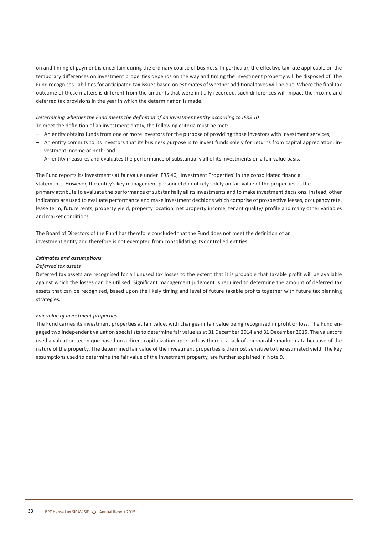on and timing of payment is uncertain during the ordinary course of business. In particular, the effective tax rate applicable on the temporary differences on investment properties depends on the way and timing the investment property will be disposed of. The Fund recognises liabilities for anticipated tax issues based on estimates of whether additional taxes will be due. Where the final tax outcome of these matters is different from the amounts that were initially recorded, such differences will impact the income and deferred tax provisions in the year in which the determination is made.

#### *Determining whether the Fund meets the definition of an investment entity according to IFRS 10* To meet the definition of an investment entity, the following criteria must be met:

- An entity obtains funds from one or more investors for the purpose of providing those investors with investment services;
- An entity commits to its investors that its business purpose is to invest funds solely for returns from capital appreciation, investment income or both; and
- – An entity measures and evaluates the performance of substantially all of its investments on a fair value basis.

The Fund reports its investments at fair value under IFRS 40, 'Investment Properties' in the consolidated financial statements. However, the entity's key management personnel do not rely solely on fair value of the properties as the primary attribute to evaluate the performance of substantially all its investments and to make investment decisions. Instead, other indicators are used to evaluate performance and make investment decisions which comprise of prospective leases, occupancy rate, lease term, future rents, property yield, property location, net property income, tenant quality/ profile and many other variables and market conditions.

The Board of Directors of the Fund has therefore concluded that the Fund does not meet the definition of an investment entity and therefore is not exempted from consolidating its controlled entities.

#### *Estimates and assumptions*

#### *Deferred tax assets*

Deferred tax assets are recognised for all unused tax losses to the extent that it is probable that taxable profit will be available against which the losses can be utilised. Significant management judgment is required to determine the amount of deferred tax assets that can be recognised, based upon the likely timing and level of future taxable profits together with future tax planning strategies.

#### *Fair value of investment properties*

The Fund carries its investment properties at fair value, with changes in fair value being recognised in profit or loss. The Fund engaged two independent valuation specialists to determine fair value as at 31 December 2014 and 31 December 2015. The valuators used a valuation technique based on a direct capitalization approach as there is a lack of comparable market data because of the nature of the property. The determined fair value of the investment properties is the most sensitive to the estimated yield. The key assumptions used to determine the fair value of the investment property, are further explained in Note 9.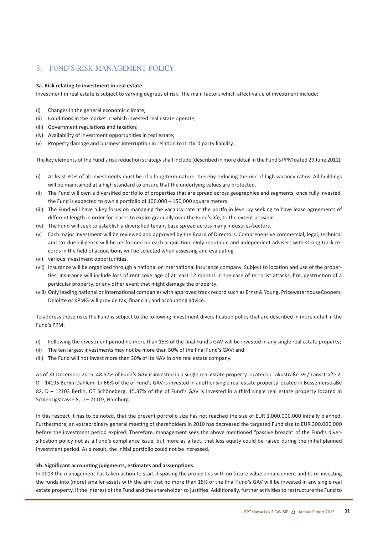## 3. Fund's risk management policy

#### **3a. Risk relating to investment in real estate**

Investment in real estate is subject to varying degrees of risk. The main factors which affect value of investment include:

- (i) Changes in the general economic climate;
- (ii) Conditions in the market in which invested real estate operate;
- (iii) Government regulations and taxation:
- (iv) Availability of investment opportunities in real estate;
- (v) Property damage and business interruption in relation to it, third party liability.

The key elements of the Fund's risk reduction strategy shall include (described in more detail in the Fund's PPM dated 29 June 2012):

- (i) At least 80% of all investments must be of a long-term nature, thereby reducing the risk of high vacancy ratios. All buildings will be maintained at a high standard to ensure that the underlying values are protected.
- (ii) The Fund will own a diversified portfolio of properties that are spread across geographies and segments; once fully invested, the Fund is expected to own a portfolio of 100,000 – 150,000 square meters.
- (iii) The Fund will have a key focus on managing the vacancy rate at the portfolio level by seeking to have lease agreements of different length in order for leases to expire gradually over the Fund's life, to the extent possible.
- (iv) The Fund will seek to establish a diversified tenant base spread across many industries/sectors.
- (v) Each major investment will be reviewed and approved by the Board of Directors. Comprehensive commercial, legal, technical and tax due diligence will be performed on each acquisition. Only reputable and independent advisers with strong track records in the field of acquisitions will be selected when assessing and evaluating
- (vi) various investment opportunities.
- (vii) Insurance will be organized through a national or international insurance company. Subject to location and use of the properties, insurance will include loss of rent coverage of at least 12 months in the case of terrorist attacks, fire, destruction of a particular property, or any other event that might damage the property.
- (viii) Only leading national or international companies with approved track record such as Ernst & Young, PricewaterhouseCoopers, Deloitte or KPMG will provide tax, financial, and accounting advice.

To address these risks the Fund is subject to the following investment diversification policy that are described in more detail in the Fund's PPM:

- (i) Following the investment period no more than 15% of the final Fund's GAV will be invested in any single real estate property;
- (ii) The ten largest investments may not be more than 50% of the final Fund's GAV; and
- (iii) The Fund will not invest more than 30% of its NAV in one real estate company.

As of 31 December 2015, 48.57% of Fund's GAV is invested in a single real estate property located in Takustraße 39 / Lansstraße 2, D – 14195 Berlin-Dahlem; 17.66% of the of Fund's GAV is invested in another single real estate property located in Bessemerstraße 82, D – 12103 Berlin, OT Schöneberg; 15.37% of the of Fund's GAV is invested in a third single real estate property located in Schlenzigstrasse 8, D – 21107, Hamburg.

In this respect it has to be noted, that the present portfolio size has not reached the size of EUR 1,000,000,000 initially planned. Furthermore, an extraordinary general meeting of shareholders in 2010 has decreased the targeted Fund size to EUR 300,000,000 before the investment period expired. Therefore, management sees the above mentioned "passive breach" of the Fund's diversification policy not as a Fund's compliance issue, but more as a fact, that less equity could be raised during the initial planned investment period. As a result, the initial portfolio could not be increased.

#### **3b. Significant accounting judgments, estimates and assumptions**

In 2013 the management has taken action to start disposing the properties with no future value enhancement and to re-investing the funds into (more) smaller assets with the aim that no more than 15% of the final Fund's GAV will be invested in any single real estate property, if the interest of the Fund and the shareholder so justifies. Additionally, further activities to restructure the Fund to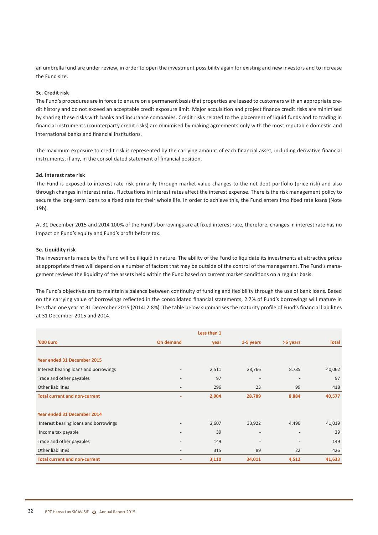an umbrella fund are under review, in order to open the investment possibility again for existing and new investors and to increase the Fund size.

#### **3c. Credit risk**

The Fund's procedures are in force to ensure on a permanent basisthat properties are leased to customers with an appropriate credit history and do not exceed an acceptable credit exposure limit. Major acquisition and project finance credit risks are minimised by sharing these risks with banks and insurance companies. Credit risks related to the placement of liquid funds and to trading in financial instruments (counterparty credit risks) are minimised by making agreements only with the most reputable domestic and international banks and financial institutions.

The maximum exposure to credit risk is represented by the carrying amount of each financial asset, including derivative financial instruments, if any, in the consolidated statement of financial position.

#### **3d. Interest rate risk**

The Fund is exposed to interest rate risk primarily through market value changes to the net debt portfolio (price risk) and also through changes in interest rates. Fluctuations in interest rates affect the interest expense. There is the risk management policy to secure the long-term loans to a fixed rate for their whole life. In order to achieve this, the Fund enters into fixed rate loans (Note 19b).

At 31 December 2015 and 2014 100% of the Fund's borrowings are at fixed interest rate, therefore, changes in interest rate has no impact on Fund's equity and Fund's profit before tax.

#### **3e. Liquidity risk**

The investments made by the Fund will be illiquid in nature. The ability of the Fund to liquidate its investments at attractive prices at appropriate times will depend on a number of factors that may be outside of the control of the management. The Fund's management reviews the liquidity of the assets held within the Fund based on current market conditions on a regular basis.

The Fund's objectives are to maintain a balance between continuity of funding and flexibility through the use of bank loans. Based on the carrying value of borrowings reflected in the consolidated financial statements, 2.7% of Fund's borrowings will mature in less than one year at 31 December 2015 (2014: 2.8%). The table below summarises the maturity profile of Fund's financial liabilities at 31 December 2015 and 2014.

|                                       |                          | Less than 1 |                          |                          |              |
|---------------------------------------|--------------------------|-------------|--------------------------|--------------------------|--------------|
| <b>'000 Euro</b>                      | On demand                | year        | 1-5 years                | >5 years                 | <b>Total</b> |
|                                       |                          |             |                          |                          |              |
| Year ended 31 December 2015           |                          |             |                          |                          |              |
| Interest bearing loans and borrowings | $\overline{\phantom{a}}$ | 2,511       | 28,766                   | 8,785                    | 40,062       |
| Trade and other payables              | $\overline{\phantom{a}}$ | 97          | $\overline{\phantom{a}}$ | $\overline{\phantom{a}}$ | 97           |
| Other liabilities                     | $\overline{\phantom{a}}$ | 296         | 23                       | 99                       | 418          |
| <b>Total current and non-current</b>  | ٠                        | 2,904       | 28,789                   | 8,884                    | 40,577       |
|                                       |                          |             |                          |                          |              |
| Year ended 31 December 2014           |                          |             |                          |                          |              |
| Interest bearing loans and borrowings | $\qquad \qquad -$        | 2,607       | 33,922                   | 4,490                    | 41,019       |
| Income tax payable                    | $\overline{\phantom{a}}$ | 39          | $\overline{\phantom{m}}$ | $\overline{\phantom{a}}$ | 39           |
| Trade and other payables              |                          | 149         | $\overline{\phantom{a}}$ |                          | 149          |
| Other liabilities                     | $\overline{\phantom{a}}$ | 315         | 89                       | 22                       | 426          |
| <b>Total current and non-current</b>  |                          | 3,110       | 34,011                   | 4,512                    | 41,633       |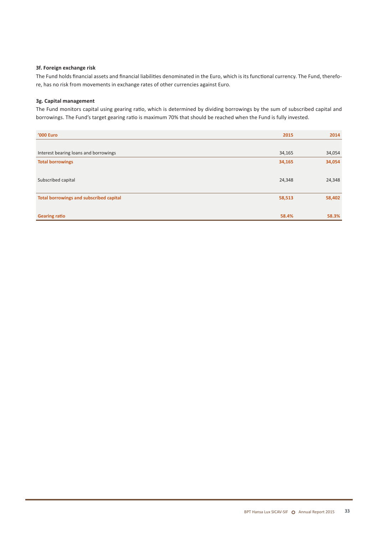#### **3f. Foreign exchange risk**

The Fund holds financial assets and financial liabilities denominated in the Euro, which is its functional currency. The Fund, therefore, has no risk from movements in exchange rates of other currencies against Euro.

#### **3g. Capital management**

The Fund monitors capital using gearing ratio, which is determined by dividing borrowings by the sum of subscribed capital and borrowings. The Fund's target gearing ratio is maximum 70% that should be reached when the Fund is fully invested.

| <b>'000 Euro</b>                               | 2015   | 2014   |
|------------------------------------------------|--------|--------|
|                                                |        |        |
| Interest bearing loans and borrowings          | 34,165 | 34,054 |
| <b>Total borrowings</b>                        | 34,165 | 34,054 |
|                                                |        |        |
| Subscribed capital                             | 24,348 | 24,348 |
|                                                |        |        |
| <b>Total borrowings and subscribed capital</b> | 58,513 | 58,402 |
|                                                |        |        |
| <b>Gearing ratio</b>                           | 58.4%  | 58.3%  |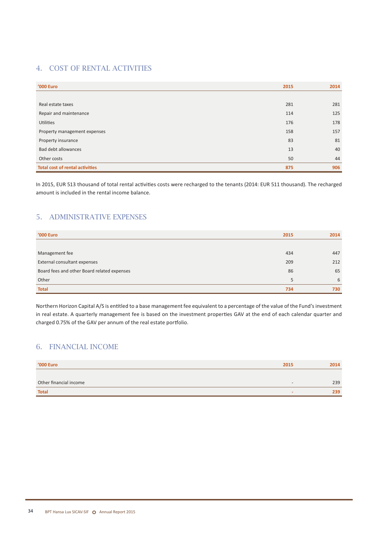## 4. Cost of rental activities

| <b>'000 Euro</b>                       | 2015 | 2014 |
|----------------------------------------|------|------|
|                                        |      |      |
| Real estate taxes                      | 281  | 281  |
| Repair and maintenance                 | 114  | 125  |
| Utilities                              | 176  | 178  |
| Property management expenses           | 158  | 157  |
| Property insurance                     | 83   | 81   |
| Bad debt allowances                    | 13   | 40   |
| Other costs                            | 50   | 44   |
| <b>Total cost of rental activities</b> | 875  | 906  |

In 2015, EUR 513 thousand of total rental activities costs were recharged to the tenants (2014: EUR 511 thousand). The recharged amount is included in the rental income balance.

## 5. Administrative expenses

| '000 Euro                                   | 2015 | 2014 |
|---------------------------------------------|------|------|
|                                             |      |      |
| Management fee                              | 434  | 447  |
| External consultant expenses                | 209  | 212  |
| Board fees and other Board related expenses | 86   | 65   |
| Other                                       | 5    | 6    |
| <b>Total</b>                                | 734  | 730  |

Northern Horizon Capital A/S is entitled to a base management fee equivalent to a percentage of the value of the Fund's investment in real estate. A quarterly management fee is based on the investment properties GAV at the end of each calendar quarter and charged 0.75% of the GAV per annum of the real estate portfolio.

## 6. Financial income

| '000 Euro              | 2015                     | 2014 |
|------------------------|--------------------------|------|
|                        |                          |      |
| Other financial income | $\overline{\phantom{0}}$ | 239  |
| <b>Total</b>           | $\sim$                   | 239  |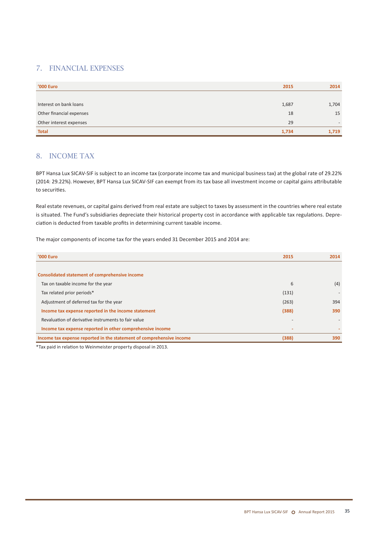## 7. Financial expenses

| <b>'000 Euro</b>         | 2015  | 2014  |
|--------------------------|-------|-------|
|                          |       |       |
| Interest on bank loans   | 1,687 | 1,704 |
| Other financial expenses | 18    | 15    |
| Other interest expenses  | 29    | $-$   |
| <b>Total</b>             | 1,734 | 1,719 |

## 8. Income tax

BPT Hansa Lux SICAV-SIF is subject to an income tax (corporate income tax and municipal business tax) at the global rate of 29.22% (2014: 29.22%). However, BPT Hansa Lux SICAV-SIF can exempt from its tax base all investment income or capital gains attributable to securities.

Real estate revenues, or capital gains derived from real estate are subject to taxes by assessment in the countries where real estate is situated. The Fund's subsidiaries depreciate their historical property cost in accordance with applicable tax regulations. Depreciation is deducted from taxable profits in determining current taxable income.

The major components of income tax for the years ended 31 December 2015 and 2014 are:

| <b>'000 Euro</b>                                                     | 2015  | 2014 |
|----------------------------------------------------------------------|-------|------|
|                                                                      |       |      |
| Consolidated statement of comprehensive income                       |       |      |
| Tax on taxable income for the year                                   | 6     | (4)  |
| Tax related prior periods*                                           | (131) |      |
| Adjustment of deferred tax for the year                              | (263) | 394  |
| Income tax expense reported in the income statement                  | (388) | 390  |
| Revaluation of derivative instruments to fair value                  |       |      |
| Income tax expense reported in other comprehensive income            |       |      |
| Income tax expense reported in the statement of comprehensive income | (388) | 390  |

\*Tax paid in relation to Weinmeister property disposal in 2013.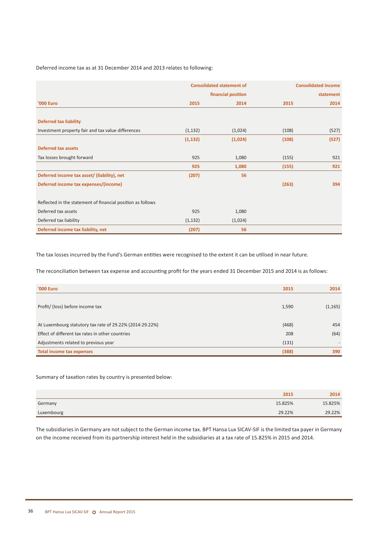Deferred income tax as at 31 December 2014 and 2013 relates to following:

|                                                             | <b>Consolidated statement of</b> |                    | <b>Consolidated income</b> |           |
|-------------------------------------------------------------|----------------------------------|--------------------|----------------------------|-----------|
|                                                             |                                  | financial position |                            | statement |
| '000 Euro                                                   | 2015                             | 2014               | 2015                       | 2014      |
|                                                             |                                  |                    |                            |           |
| <b>Deferred tax liability</b>                               |                                  |                    |                            |           |
| Investment property fair and tax value differences          | (1, 132)                         | (1,024)            | (108)                      | (527)     |
|                                                             | (1, 132)                         | (1,024)            | (108)                      | (527)     |
| Deferred tax assets                                         |                                  |                    |                            |           |
| Tax losses brought forward                                  | 925                              | 1,080              | (155)                      | 921       |
|                                                             | 925                              | 1,080              | (155)                      | 921       |
| Deferred income tax asset/ (liability), net                 | (207)                            | 56                 |                            |           |
| Deferred income tax expenses/(income)                       |                                  |                    | (263)                      | 394       |
|                                                             |                                  |                    |                            |           |
| Reflected in the statement of financial position as follows |                                  |                    |                            |           |
| Deferred tax assets                                         | 925                              | 1,080              |                            |           |
| Deferred tax liability                                      | (1, 132)                         | (1,024)            |                            |           |
| Deferred income tax liability, net                          | (207)                            | 56                 |                            |           |

The tax losses incurred by the Fund's German entities were recognised to the extent it can be utilised in near future.

The reconciliation between tax expense and accounting profit for the years ended 31 December 2015 and 2014 is as follows:

| <b>'000 Euro</b>                                         | 2015  | 2014     |
|----------------------------------------------------------|-------|----------|
| Profit/ (loss) before income tax                         | 1,590 | (1, 165) |
| At Luxembourg statutory tax rate of 29.22% (2014:29.22%) | (468) | 454      |
| Effect of different tax rates in other countries         | 208   | (64)     |
| Adjustments related to previous year                     | (131) |          |
| Total income tax expenses                                | (388) | 390      |

Summary of taxation rates by country is presented below:

|            | 2015    | 2014    |
|------------|---------|---------|
| Germany    | 15.825% | 15.825% |
| Luxembourg | 29.22%  | 29.22%  |

The subsidiaries in Germany are not subject to the German income tax. BPT Hansa Lux SICAV-SIF is the limited tax payer in Germany on the income received from its partnership interest held in the subsidiaries at a tax rate of 15.825% in 2015 and 2014.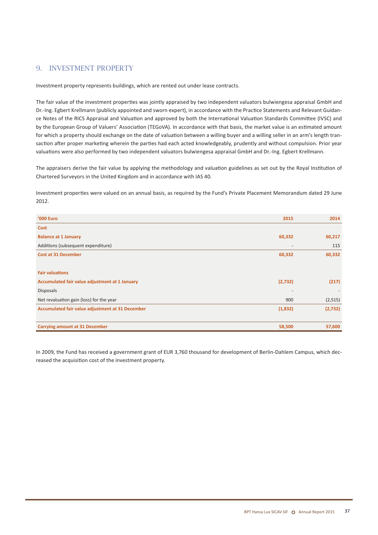## 9. Investment property

Investment property represents buildings, which are rented out under lease contracts.

The fair value of the investment properties was jointly appraised by two independent valuators bulwiengesa appraisal GmbH and Dr.-Ing. Egbert Krellmann (publicly appointed and sworn expert), in accordance with the Practice Statements and Relevant Guidance Notes of the RICS Appraisal and Valuation and approved by both the International Valuation Standards Committee (IVSC) and by the European Group of Valuers' Association (TEGoVA). In accordance with that basis, the market value is an estimated amount for which a property should exchange on the date of valuation between a willing buyer and a willing seller in an arm's length transaction after proper marketing wherein the parties had each acted knowledgeably, prudently and without compulsion. Prior year valuations were also performed by two independent valuators bulwiengesa appraisal GmbH and Dr.-Ing. Egbert Krellmann.

The appraisers derive the fair value by applying the methodology and valuation guidelines as set out by the Royal Institution of Chartered Surveyors in the United Kingdom and in accordance with IAS 40.

Investment properties were valued on an annual basis, as required by the Fund's Private Placement Memorandum dated 29 June 2012.

| <b>'000 Euro</b>                                 | 2015                     | 2014    |
|--------------------------------------------------|--------------------------|---------|
| Cost                                             |                          |         |
| <b>Balance at 1 January</b>                      | 60,332                   | 60,217  |
| Additions (subsequent expenditure)               | $\overline{\phantom{a}}$ | 115     |
| <b>Cost at 31 December</b>                       | 60,332                   | 60,332  |
|                                                  |                          |         |
| <b>Fair valuations</b>                           |                          |         |
| Accumulated fair value adjustment at 1 January   | (2,732)                  | (217)   |
| <b>Disposals</b>                                 | $\overline{\phantom{a}}$ |         |
| Net revaluation gain (loss) for the year         | 900                      | (2,515) |
| Accumulated fair value adjustment at 31 December | (1,832)                  | (2,732) |
|                                                  |                          |         |
| <b>Carrying amount at 31 December</b>            | 58,500                   | 57,600  |

In 2009, the Fund has received a government grant of EUR 3,760 thousand for development of Berlin-Dahlem Campus, which decreased the acquisition cost of the investment property.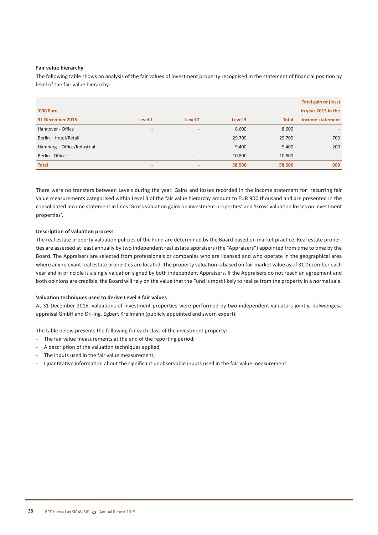#### **Fair value hierarchy**

The following table shows an analysis of the fair values of investment property recognised in the statement of financial position by level of the fair value hierarchy:

|                             |                          |                          |         |              | <b>Total gain or (loss)</b> |
|-----------------------------|--------------------------|--------------------------|---------|--------------|-----------------------------|
| <b>'000 Euro</b>            |                          |                          |         |              | in year 2015 in the         |
| 31 December 2015            | Level 1                  | Level 2                  | Level 3 | <b>Total</b> | income statement            |
| Hannover - Office           | $\overline{\phantom{a}}$ | $\overline{\phantom{a}}$ | 8,600   | 8,600        | $\overline{\phantom{a}}$    |
| Berlin - Hotel/Retail       | $\overline{\phantom{a}}$ | $\overline{\phantom{0}}$ | 29,700  | 29,700       | 700                         |
| Hamburg - Office/Industrial | $\overline{\phantom{a}}$ | $\overline{\phantom{0}}$ | 9,400   | 9,400        | 200                         |
| Berlin - Office             | $\overline{\phantom{a}}$ | $\overline{\phantom{0}}$ | 10,800  | 10,800       | $\overline{\phantom{0}}$    |
| <b>Total</b>                | $\sim$                   | -                        | 58,500  | 58,500       | 900                         |

There were no transfers between Levels during the year. Gains and losses recorded in the income statement for recurring fair value measurements categorised within Level 3 of the fair value hierarchy amount to EUR 900 thousand and are presented in the consolidated income statement in lines 'Gross valuation gains on investment properties' and 'Gross valuation losses on investment properties'.

#### **Description of valuation process**

The real estate property valuation policies of the Fund are determined by the Board based on market practice. Real estate properties are assessed at least annually by two independent real estate appraisers (the "Appraisers") appointed from time to time by the Board. The Appraisers are selected from professionals or companies who are licensed and who operate in the geographical area where any relevant real estate properties are located. The property valuation is based on fair market value as of 31 December each year and in principle is a single valuation signed by both independent Appraisers. If the Appraisers do not reach an agreement and both opinions are credible, the Board will rely on the value that the Fund is most likely to realize from the property in a normal sale.

#### **Valuation techniques used to derive Level 3 fair values**

At 31 December 2015, valuations of investment properties were performed by two independent valuators jointly, bulwiengesa appraisal GmbH and Dr.-Ing. Egbert Krellmann (publicly appointed and sworn expert).

The table below presents the following for each class of the investment property:

- The fair value measurements at the end of the reporting period:
- A description of the valuation techniques applied;
- The inputs used in the fair value measurement;
- Quantitative information about the significant unobservable inputs used in the fair value measurement.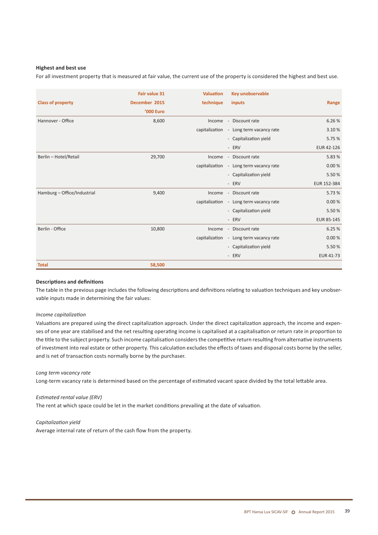#### **Highest and best use**

For all investment property that is measured at fair value, the current use of the property is considered the highest and best use.

|                             | <b>Fair value 31</b> | <b>Valuation</b> | Key unobservable                        |                   |
|-----------------------------|----------------------|------------------|-----------------------------------------|-------------------|
| <b>Class of property</b>    | December 2015        | technique        | inputs                                  | Range             |
|                             | <b>'000 Euro</b>     |                  |                                         |                   |
| Hannover - Office           | 8,600                | Income           | - Discount rate                         | 6.26%             |
|                             |                      |                  | capitalization - Long term vacancy rate | 3.10%             |
|                             |                      |                  | - Capitalization yield                  | 5.75%             |
|                             |                      |                  | - ERV                                   | EUR 42-126        |
| Berlin - Hotel/Retail       | 29,700               | Income           | - Discount rate                         | 5.83%             |
|                             |                      |                  | capitalization - Long term vacancy rate | 0.00%             |
|                             |                      |                  | - Capitalization yield                  | 5.50%             |
|                             |                      |                  | - ERV                                   | EUR 152-384       |
| Hamburg - Office/Industrial | 9,400                | Income           | - Discount rate                         | 5.73 %            |
|                             |                      |                  | capitalization - Long term vacancy rate | 0.00%             |
|                             |                      |                  | - Capitalization yield                  | 5.50%             |
|                             |                      |                  | - ERV                                   | <b>EUR 85-145</b> |
| Berlin - Office             | 10,800               | Income           | - Discount rate                         | 6.25%             |
|                             |                      |                  | capitalization - Long term vacancy rate | 0.00%             |
|                             |                      |                  | - Capitalization yield                  | 5.50%             |
|                             |                      |                  | - ERV                                   | <b>EUR 41-73</b>  |
| <b>Total</b>                | 58,500               |                  |                                         |                   |

#### **Descriptions and definitions**

The table in the previous page includes the following descriptions and definitions relating to valuation techniques and key unobservable inputs made in determining the fair values:

#### *Income capitalization*

Valuations are prepared using the direct capitalization approach. Under the direct capitalization approach, the income and expenses of one year are stabilised and the net resulting operating income is capitalised at a capitalisation or return rate in proportion to the title to the subject property. Such income capitalisation considers the competitive return resulting from alternative instruments of investment into real estate or other property. This calculation excludes the effects of taxes and disposal costs borne by the seller, and is net of transaction costs normally borne by the purchaser.

#### *Long term vacancy rate*

Long-term vacancy rate is determined based on the percentage of estimated vacant space divided by the total lettable area.

#### *Estimated rental value (ERV)*

The rent at which space could be let in the market conditions prevailing at the date of valuation.

#### *Capitalization yield*

Average internal rate of return of the cash flow from the property.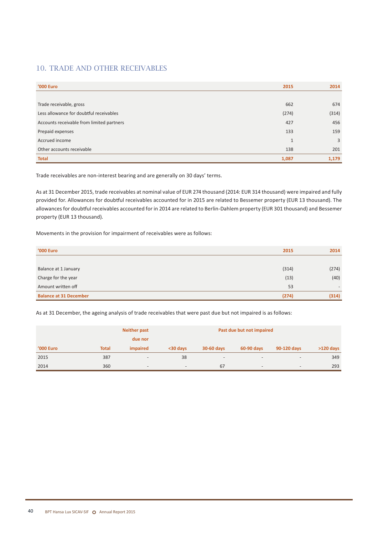## 10. Trade and other receivables

| <b>'000 Euro</b>                          | 2015         | 2014  |
|-------------------------------------------|--------------|-------|
|                                           |              |       |
| Trade receivable, gross                   | 662          | 674   |
| Less allowance for doubtful receivables   | (274)        | (314) |
| Accounts receivable from limited partners | 427          | 456   |
| Prepaid expenses                          | 133          | 159   |
| Accrued income                            | $\mathbf{1}$ | 3     |
| Other accounts receivable                 | 138          | 201   |
| <b>Total</b>                              | 1,087        | 1,179 |

Trade receivables are non-interest bearing and are generally on 30 days' terms.

As at 31 December 2015, trade receivables at nominal value of EUR 274 thousand (2014: EUR 314 thousand) were impaired and fully provided for. Allowances for doubtful receivables accounted for in 2015 are related to Bessemer property (EUR 13 thousand). The allowances for doubtful receivables accounted for in 2014 are related to Berlin-Dahlem property (EUR 301 thousand) and Bessemer property (EUR 13 thousand).

Movements in the provision for impairment of receivables were as follows:

| <b>'000 Euro</b>              | 2015  | 2014                     |
|-------------------------------|-------|--------------------------|
|                               |       |                          |
| Balance at 1 January          | (314) | (274)                    |
| Charge for the year           | (13)  | (40)                     |
| Amount written off            | 53    | $\overline{\phantom{0}}$ |
| <b>Balance at 31 December</b> | (274) | (314)                    |

As at 31 December, the ageing analysis of trade receivables that were past due but not impaired is as follows:

|           |              | <b>Neither past</b>      | Past due but not impaired |                          |                          |                          |             |
|-----------|--------------|--------------------------|---------------------------|--------------------------|--------------------------|--------------------------|-------------|
|           |              | due nor                  |                           |                          |                          |                          |             |
| '000 Euro | <b>Total</b> | impaired                 | $30$ davs                 | 30-60 days               | 60-90 days               | 90-120 days              | $>120$ days |
| 2015      | 387          | $\overline{\phantom{0}}$ | 38                        | $\overline{\phantom{0}}$ | $-$                      | $\overline{\phantom{a}}$ | 349         |
| 2014      | 360          | $\overline{\phantom{0}}$ | $\overline{\phantom{0}}$  | 67                       | $\overline{\phantom{0}}$ | $\overline{\phantom{a}}$ | 293         |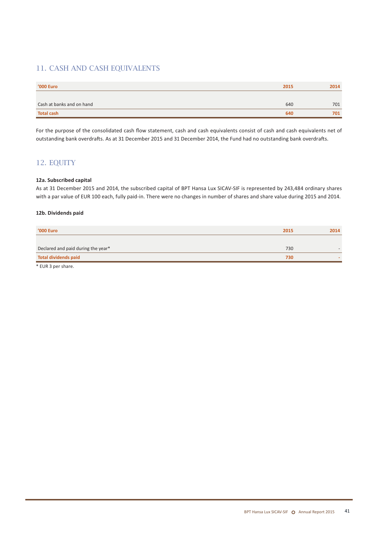## 11. CASH AND CASH EQUIVALENTS

| <b>'000 Euro</b>          | 2015 | 2014 |
|---------------------------|------|------|
|                           |      |      |
| Cash at banks and on hand | 640  | 701  |
| <b>Total cash</b>         | 640  | 701  |

For the purpose of the consolidated cash flow statement, cash and cash equivalents consist of cash and cash equivalents net of outstanding bank overdrafts. As at 31 December 2015 and 31 December 2014, the Fund had no outstanding bank overdrafts.

## 12. Equity

#### **12a. Subscribed capital**

As at 31 December 2015 and 2014, the subscribed capital of BPT Hansa Lux SICAV-SIF is represented by 243,484 ordinary shares with a par value of EUR 100 each, fully paid-in. There were no changes in number of shares and share value during 2015 and 2014.

#### **12b. Dividends paid**

| '000 Euro                          | 2015 | 2014 |
|------------------------------------|------|------|
|                                    |      |      |
| Declared and paid during the year* | 730  |      |
| <b>Total dividends paid</b>        | 730  |      |
|                                    |      |      |

\* EUR 3 per share.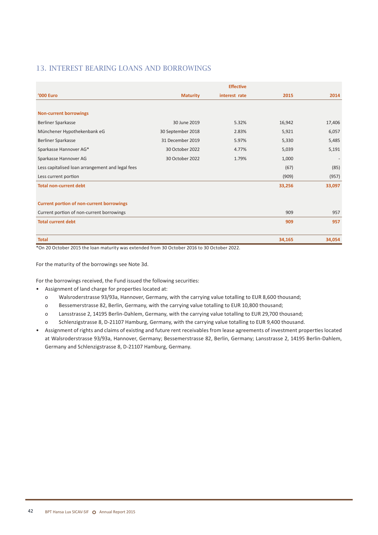## 13. Interest bearing loans and borrowings

|                                                  |                   | <b>Effective</b> |        |        |
|--------------------------------------------------|-------------------|------------------|--------|--------|
| '000 Euro                                        | <b>Maturity</b>   | interest rate    | 2015   | 2014   |
|                                                  |                   |                  |        |        |
| <b>Non-current borrowings</b>                    |                   |                  |        |        |
| <b>Berliner Sparkasse</b>                        | 30 June 2019      | 5.32%            | 16,942 | 17,406 |
| Münchener Hypothekenbank eG                      | 30 September 2018 | 2.83%            | 5,921  | 6,057  |
| Berliner Sparkasse                               | 31 December 2019  | 5.97%            | 5,330  | 5,485  |
| Sparkasse Hannover AG*                           | 30 October 2022   | 4.77%            | 5,039  | 5,191  |
| Sparkasse Hannover AG                            | 30 October 2022   | 1.79%            | 1,000  |        |
| Less capitalised loan arrangement and legal fees |                   |                  | (67)   | (85)   |
| Less current portion                             |                   |                  | (909)  | (957)  |
| <b>Total non-current debt</b>                    |                   |                  | 33,256 | 33,097 |
|                                                  |                   |                  |        |        |
| <b>Current portion of non-current borrowings</b> |                   |                  |        |        |
| Current portion of non-current borrowings        |                   |                  | 909    | 957    |
| <b>Total current debt</b>                        |                   |                  | 909    | 957    |
|                                                  |                   |                  |        |        |
| <b>Total</b>                                     |                   |                  | 34,165 | 34,054 |

\*On 20 October 2015 the loan maturity was extended from 30 October 2016 to 30 October 2022.

For the maturity of the borrowings see Note 3d.

For the borrowings received, the Fund issued the following securities:

- • Assignment of land charge for properties located at:
	- o Walsroderstrasse 93/93a, Hannover, Germany, with the carrying value totalling to EUR 8,600 thousand;
	- o Bessemerstrasse 82, Berlin, Germany, with the carrying value totalling to EUR 10,800 thousand;
	- o Lansstrasse 2, 14195 Berlin-Dahlem, Germany, with the carrying value totalling to EUR 29,700 thousand;
	- o Schlenzigstrasse 8, D-21107 Hamburg, Germany, with the carrying value totalling to EUR 9,400 thousand.
- • Assignment of rights and claims of existing and future rent receivables from lease agreements of investment properties located at Walsroderstrasse 93/93a, Hannover, Germany; Bessemerstrasse 82, Berlin, Germany; Lansstrasse 2, 14195 Berlin-Dahlem, Germany and Schlenzigstrasse 8, D-21107 Hamburg, Germany.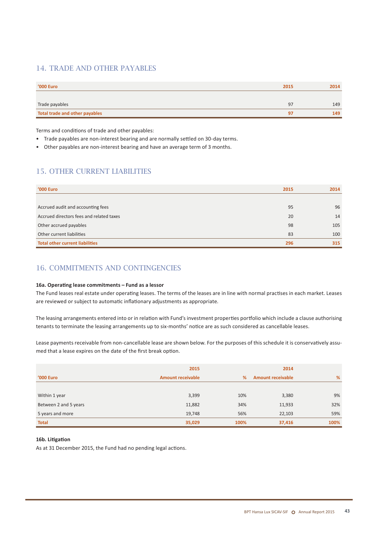## 14. Trade and other payables

| <b>'000 Euro</b>               | 2015 | 2014 |
|--------------------------------|------|------|
|                                |      |      |
| Trade payables                 | 97   | 149  |
| Total trade and other payables | 97   | 149  |

Terms and conditions of trade and other payables:

- Trade payables are non-interest bearing and are normally settled on 30-day terms.
- • Other payables are non-interest bearing and have an average term of 3 months.

## 15. Other current liabilities

| <b>'000 Euro</b>                         | 2015 | 2014 |
|------------------------------------------|------|------|
|                                          |      |      |
| Accrued audit and accounting fees        | 95   | 96   |
| Accrued directors fees and related taxes | 20   | 14   |
| Other accrued payables                   | 98   | 105  |
| Other current liabilities                | 83   | 100  |
| <b>Total other current liabilities</b>   | 296  | 315  |

## 16. Commitments and contingencies

#### **16a. Operating lease commitments – Fund as a lessor**

The Fund leases real estate under operating leases. The terms of the leases are in line with normal practises in each market. Leases are reviewed or subject to automatic inflationary adjustments as appropriate.

The leasing arrangements entered into or in relation with Fund's investment properties portfolio which include a clause authorising tenants to terminate the leasing arrangements up to six-months' notice are as such considered as cancellable leases.

Lease payments receivable from non-cancellable lease are shown below. For the purposes of this schedule it is conservatively assumed that a lease expires on the date of the first break option.

|                       | 2015                     | 2014 |                          |      |
|-----------------------|--------------------------|------|--------------------------|------|
| <b>'000 Euro</b>      | <b>Amount receivable</b> | %    | <b>Amount receivable</b> | %    |
|                       |                          |      |                          |      |
| Within 1 year         | 3,399                    | 10%  | 3,380                    | 9%   |
| Between 2 and 5 years | 11,882                   | 34%  | 11,933                   | 32%  |
| 5 years and more      | 19,748                   | 56%  | 22,103                   | 59%  |
| <b>Total</b>          | 35,029                   | 100% | 37,416                   | 100% |

#### **16b. Litigation**

As at 31 December 2015, the Fund had no pending legal actions.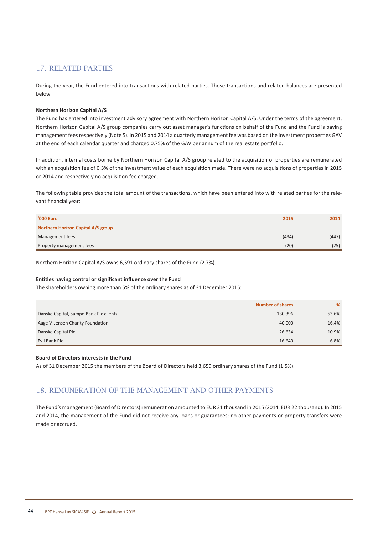## 17. Related parties

During the year, the Fund entered into transactions with related parties. Those transactions and related balances are presented below.

#### **Northern Horizon Capital A/S**

The Fund has entered into investment advisory agreement with Northern Horizon Capital A/S. Under the terms of the agreement, Northern Horizon Capital A/S group companies carry out asset manager's functions on behalf of the Fund and the Fund is paying management feesrespectively (Note 5). In 2015 and 2014 a quarterly management fee was based on the investment properties GAV at the end of each calendar quarter and charged 0.75% of the GAV per annum of the real estate portfolio.

In addition, internal costs borne by Northern Horizon Capital A/S group related to the acquisition of properties are remunerated with an acquisition fee of 0.3% of the investment value of each acquisition made. There were no acquisitions of properties in 2015 or 2014 and respectively no acquisition fee charged.

The following table provides the total amount of the transactions, which have been entered into with related parties for the relevant financial year:

| <b>'000 Euro</b>                   | 2015  | 2014  |
|------------------------------------|-------|-------|
| Northern Horizon Capital A/S group |       |       |
| Management fees                    | (434) | (447) |
| Property management fees           | (20)  | (25)  |

Northern Horizon Capital A/S owns 6,591 ordinary shares of the Fund (2.7%).

#### **Entities having control or significant influence over the Fund**

The shareholders owning more than 5% of the ordinary shares as of 31 December 2015:

|                                        | <b>Number of shares</b> | %     |
|----------------------------------------|-------------------------|-------|
| Danske Capital, Sampo Bank Plc clients | 130,396                 | 53.6% |
| Aage V. Jensen Charity Foundation      | 40,000                  | 16.4% |
| Danske Capital Plc                     | 26,634                  | 10.9% |
| Evli Bank Plc                          | 16,640                  | 6.8%  |

#### **Board of Directors interests in the Fund**

As of 31 December 2015 the members of the Board of Directors held 3,659 ordinary shares of the Fund (1.5%).

### 18. Remuneration of the management and other payments

The Fund's management (Board of Directors) remuneration amounted to EUR 21 thousand in 2015 (2014: EUR 22 thousand). In 2015 and 2014, the management of the Fund did not receive any loans or guarantees; no other payments or property transfers were made or accrued.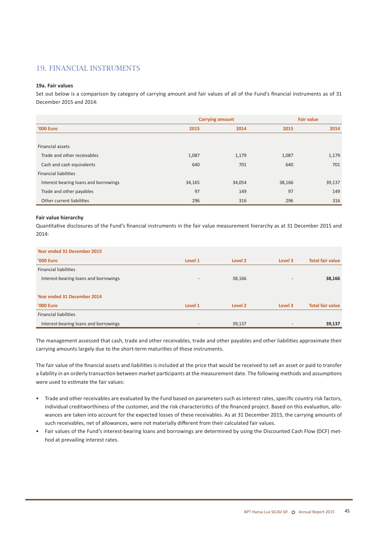## 19. Financial instruments

#### **19a. Fair values**

Set out below is a comparison by category of carrying amount and fair values of all of the Fund's financial instruments as of 31 December 2015 and 2014:

|                                       |        | <b>Carrying amount</b> |        | <b>Fair value</b> |  |
|---------------------------------------|--------|------------------------|--------|-------------------|--|
| <b>'000 Euro</b>                      | 2015   | 2014                   | 2015   | 2014              |  |
|                                       |        |                        |        |                   |  |
| Financial assets                      |        |                        |        |                   |  |
| Trade and other receivables           | 1,087  | 1,179                  | 1,087  | 1,179             |  |
| Cash and cash equivalents             | 640    | 701                    | 640    | 701               |  |
| <b>Financial liabilities</b>          |        |                        |        |                   |  |
| Interest bearing loans and borrowings | 34,165 | 34,054                 | 38,166 | 39,137            |  |
| Trade and other payables              | 97     | 149                    | 97     | 149               |  |
| Other current liabilities             | 296    | 316                    | 296    | 316               |  |

#### **Fair value hierarchy**

Quantitative disclosures of the Fund's financial instruments in the fair value measurement hierarchy as at 31 December 2015 and 2014:

| Year ended 31 December 2015           |         |         |                          |                         |  |  |
|---------------------------------------|---------|---------|--------------------------|-------------------------|--|--|
| <b>'000 Euro</b>                      | Level 1 | Level 2 | Level 3                  | <b>Total fair value</b> |  |  |
| <b>Financial liabilities</b>          |         |         |                          |                         |  |  |
| Interest-bearing loans and borrowings | $-$     | 38,166  | $\overline{\phantom{a}}$ | 38,166                  |  |  |
|                                       |         |         |                          |                         |  |  |
| Year ended 31 December 2014           |         |         |                          |                         |  |  |
| '000 Euro                             | Level 1 | Level 2 | Level 3                  | <b>Total fair value</b> |  |  |
| <b>Financial liabilities</b>          |         |         |                          |                         |  |  |
| Interest-bearing loans and borrowings |         | 39,137  |                          | 39,137                  |  |  |

The management assessed that cash, trade and other receivables, trade and other payables and other liabilities approximate their carrying amounts largely due to the short-term maturities of these instruments.

The fair value of the financial assets and liabilities is included at the price that would be received to sell an asset or paid to transfer a liability in an orderly transaction between market participants at the measurement date. The following methods and assumptions were used to estimate the fair values:

- • Trade and other receivables are evaluated by the Fund based on parameters such as interest rates, specific country risk factors, individual creditworthiness of the customer, and the risk characteristics of the financed project. Based on this evaluation, allowances are taken into account for the expected losses of these receivables. As at 31 December 2015, the carrying amounts of such receivables, net of allowances, were not materially different from their calculated fair values.
- Fair values of the Fund's interest-bearing loans and borrowings are determined by using the Discounted Cash Flow (DCF) method at prevailing interest rates.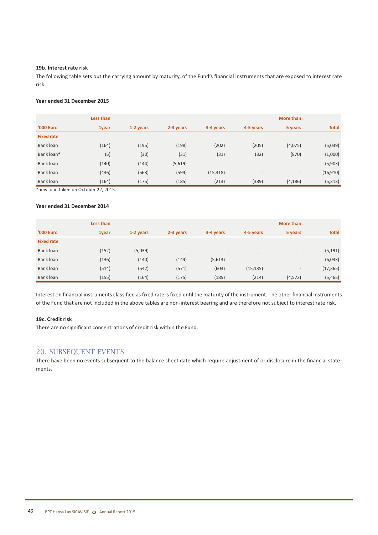#### **19b. Interest rate risk**

The following table sets out the carrying amount by maturity, of the Fund's financial instruments that are exposed to interest rate risk:

#### **Year ended 31 December 2015**

|                   | Less than<br>More than |           |           |           |                          |                          |              |
|-------------------|------------------------|-----------|-----------|-----------|--------------------------|--------------------------|--------------|
| <b>'000 Euro</b>  | 1year                  | 1-2 years | 2-3 years | 3-4 years | 4-5 years                | 5 years                  | <b>Total</b> |
| <b>Fixed rate</b> |                        |           |           |           |                          |                          |              |
| Bank loan         | (164)                  | (195)     | (198)     | (202)     | (205)                    | (4,075)                  | (5,039)      |
| Bank loan*        | (5)                    | (30)      | (31)      | (31)      | (32)                     | (870)                    | (1,000)      |
| Bank loan         | (140)                  | (144)     | (5,619)   | -         | $\overline{\phantom{a}}$ | $\overline{\phantom{a}}$ | (5,903)      |
| Bank loan         | (436)                  | (563)     | (594)     | (15, 318) | $\overline{\phantom{a}}$ | $\overline{\phantom{a}}$ | (16, 910)    |
| Bank loan         | (164)                  | (175)     | (185)     | (213)     | (389)                    | (4, 186)                 | (5, 313)     |

\*new loan taken on October 22, 2015.

#### **Year ended 31 December 2014**

| Less than         |              |           |                          | More than                |                          |                          |              |
|-------------------|--------------|-----------|--------------------------|--------------------------|--------------------------|--------------------------|--------------|
| <b>'000 Euro</b>  | <b>1year</b> | 1-2 years | 2-3 years                | 3-4 years                | 4-5 years                | 5 years                  | <b>Total</b> |
| <b>Fixed rate</b> |              |           |                          |                          |                          |                          |              |
| Bank loan         | (152)        | (5,039)   | $\overline{\phantom{a}}$ | $\overline{\phantom{a}}$ | $\overline{\phantom{m}}$ | $\overline{\phantom{a}}$ | (5, 191)     |
| Bank loan         | (136)        | (140)     | (144)                    | (5,613)                  | $-$                      | $\overline{\phantom{a}}$ | (6,033)      |
| Bank loan         | (514)        | (542)     | (571)                    | (603)                    | (15, 135)                | $\overline{\phantom{a}}$ | (17, 365)    |
| Bank loan         | (155)        | (164)     | (175)                    | (185)                    | (214)                    | (4, 572)                 | (5,465)      |

Interest on financial instruments classified as fixed rate is fixed until the maturity of the instrument. The other financial instruments of the Fund that are not included in the above tables are non-interest bearing and are therefore not subject to interest rate risk.

#### **19c. Credit risk**

There are no significant concentrations of credit risk within the Fund.

#### 20. Subsequent events

There have been no events subsequent to the balance sheet date which require adjustment of or disclosure in the financial statements.